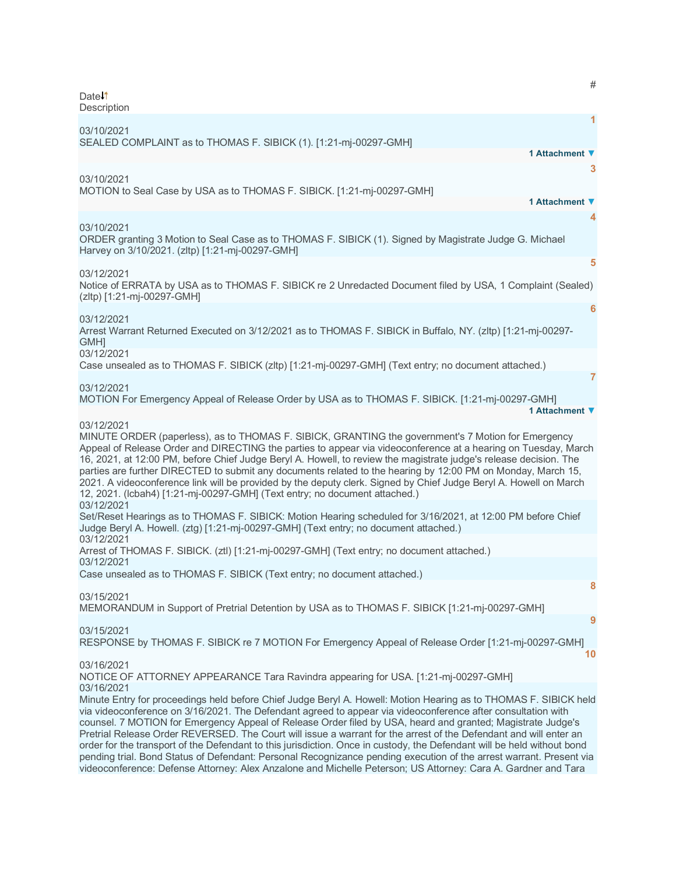# Date<sup>1</sup> **Description [1](javascript:void(0))** 03/10/2021 SEALED COMPLAINT as to THOMAS F. SIBICK (1). [1:21-mj-00297-GMH] **1 Attachment ▼ [3](javascript:void(0))** 03/10/2021 MOTION to Seal Case by USA as to THOMAS F. SIBICK. [1:21-mj-00297-GMH] **1 Attachment ▼ [4](javascript:void(0))** 03/10/2021 ORDER granting 3 Motion to Seal Case as to THOMAS F. SIBICK (1). Signed by Magistrate Judge G. Michael Harvey on 3/10/2021. (zltp) [1:21-mj-00297-GMH] **[5](javascript:void(0))** 03/12/2021 Notice of ERRATA by USA as to THOMAS F. SIBICK re 2 Unredacted Document filed by USA, 1 Complaint (Sealed) (zltp) [1:21-mj-00297-GMH] **[6](javascript:void(0))** 03/12/2021 Arrest Warrant Returned Executed on 3/12/2021 as to THOMAS F. SIBICK in Buffalo, NY. (zltp) [1:21-mj-00297- **GMHI** 03/12/2021 Case unsealed as to THOMAS F. SIBICK (zltp) [1:21-mj-00297-GMH] (Text entry; no document attached.) **[7](javascript:void(0))** 03/12/2021 MOTION For Emergency Appeal of Release Order by USA as to THOMAS F. SIBICK. [1:21-mj-00297-GMH] **1 Attachment ▼** 03/12/2021 MINUTE ORDER (paperless), as to THOMAS F. SIBICK, GRANTING the government's 7 Motion for Emergency Appeal of Release Order and DIRECTING the parties to appear via videoconference at a hearing on Tuesday, March 16, 2021, at 12:00 PM, before Chief Judge Beryl A. Howell, to review the magistrate judge's release decision. The parties are further DIRECTED to submit any documents related to the hearing by 12:00 PM on Monday, March 15, 2021. A videoconference link will be provided by the deputy clerk. Signed by Chief Judge Beryl A. Howell on March 12, 2021. (lcbah4) [1:21-mj-00297-GMH] (Text entry; no document attached.) 03/12/2021 Set/Reset Hearings as to THOMAS F. SIBICK: Motion Hearing scheduled for 3/16/2021, at 12:00 PM before Chief Judge Beryl A. Howell. (ztg) [1:21-mj-00297-GMH] (Text entry; no document attached.) 03/12/2021 Arrest of THOMAS F. SIBICK. (ztl) [1:21-mj-00297-GMH] (Text entry; no document attached.) 03/12/2021 Case unsealed as to THOMAS F. SIBICK (Text entry; no document attached.) **[8](javascript:void(0))** 03/15/2021 MEMORANDUM in Support of Pretrial Detention by USA as to THOMAS F. SIBICK [1:21-mj-00297-GMH] **[9](javascript:void(0))** 03/15/2021 RESPONSE by THOMAS F. SIBICK re 7 MOTION For Emergency Appeal of Release Order [1:21-mj-00297-GMH] **[10](javascript:void(0))** 03/16/2021 NOTICE OF ATTORNEY APPEARANCE Tara Ravindra appearing for USA. [1:21-mj-00297-GMH] 03/16/2021 Minute Entry for proceedings held before Chief Judge Beryl A. Howell: Motion Hearing as to THOMAS F. SIBICK held via videoconference on 3/16/2021. The Defendant agreed to appear via videoconference after consultation with counsel. 7 MOTION for Emergency Appeal of Release Order filed by USA, heard and granted; Magistrate Judge's Pretrial Release Order REVERSED. The Court will issue a warrant for the arrest of the Defendant and will enter an order for the transport of the Defendant to this jurisdiction. Once in custody, the Defendant will be held without bond pending trial. Bond Status of Defendant: Personal Recognizance pending execution of the arrest warrant. Present via videoconference: Defense Attorney: Alex Anzalone and Michelle Peterson; US Attorney: Cara A. Gardner and Tara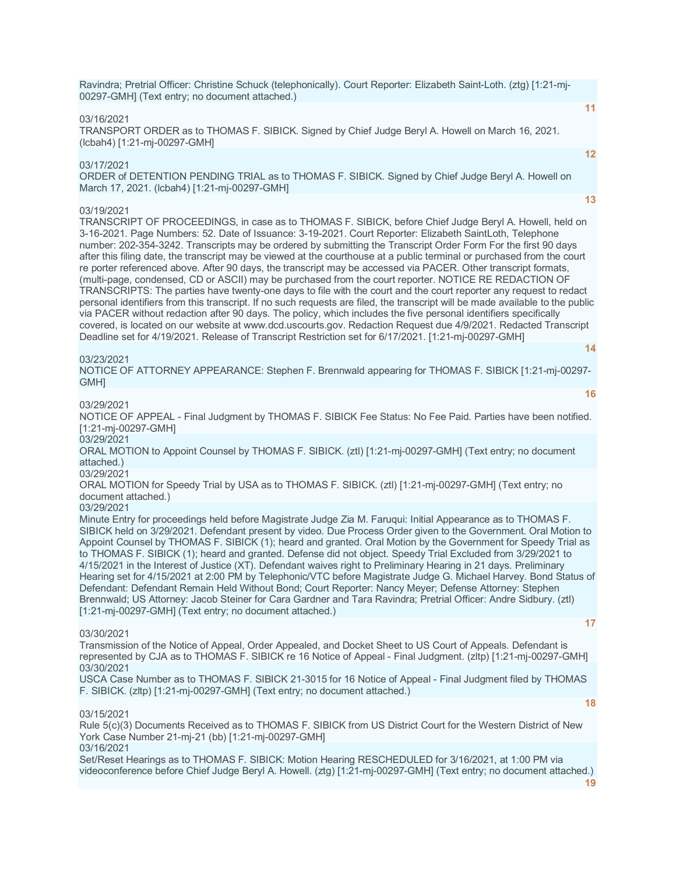Ravindra; Pretrial Officer: Christine Schuck (telephonically). Court Reporter: Elizabeth Saint-Loth. (ztg) [1:21-mj-00297-GMH] (Text entry; no document attached.)

#### 03/16/2021

TRANSPORT ORDER as to THOMAS F. SIBICK. Signed by Chief Judge Beryl A. Howell on March 16, 2021. (lcbah4) [1:21-mj-00297-GMH]

03/17/2021

ORDER of DETENTION PENDING TRIAL as to THOMAS F. SIBICK. Signed by Chief Judge Beryl A. Howell on March 17, 2021. (lcbah4) [1:21-mj-00297-GMH]

#### 03/19/2021

TRANSCRIPT OF PROCEEDINGS, in case as to THOMAS F. SIBICK, before Chief Judge Beryl A. Howell, held on 3-16-2021. Page Numbers: 52. Date of Issuance: 3-19-2021. Court Reporter: Elizabeth SaintLoth, Telephone number: 202-354-3242. Transcripts may be ordered by submitting the Transcript Order Form For the first 90 days after this filing date, the transcript may be viewed at the courthouse at a public terminal or purchased from the court re porter referenced above. After 90 days, the transcript may be accessed via PACER. Other transcript formats, (multi-page, condensed, CD or ASCII) may be purchased from the court reporter. NOTICE RE REDACTION OF TRANSCRIPTS: The parties have twenty-one days to file with the court and the court reporter any request to redact personal identifiers from this transcript. If no such requests are filed, the transcript will be made available to the public via PACER without redaction after 90 days. The policy, which includes the five personal identifiers specifically covered, is located on our website at www.dcd.uscourts.gov. Redaction Request due 4/9/2021. Redacted Transcript Deadline set for 4/19/2021. Release of Transcript Restriction set for 6/17/2021. [1:21-mj-00297-GMH]

#### 03/23/2021

NOTICE OF ATTORNEY APPEARANCE: Stephen F. Brennwald appearing for THOMAS F. SIBICK [1:21-mj-00297- GMH]

03/29/2021

NOTICE OF APPEAL - Final Judgment by THOMAS F. SIBICK Fee Status: No Fee Paid. Parties have been notified. [1:21-mj-00297-GMH]

03/29/2021

ORAL MOTION to Appoint Counsel by THOMAS F. SIBICK. (ztl) [1:21-mj-00297-GMH] (Text entry; no document attached.)

03/29/2021

ORAL MOTION for Speedy Trial by USA as to THOMAS F. SIBICK. (ztl) [1:21-mj-00297-GMH] (Text entry; no document attached.)

# 03/29/2021

Minute Entry for proceedings held before Magistrate Judge Zia M. Faruqui: Initial Appearance as to THOMAS F. SIBICK held on 3/29/2021. Defendant present by video. Due Process Order given to the Government. Oral Motion to Appoint Counsel by THOMAS F. SIBICK (1); heard and granted. Oral Motion by the Government for Speedy Trial as to THOMAS F. SIBICK (1); heard and granted. Defense did not object. Speedy Trial Excluded from 3/29/2021 to 4/15/2021 in the Interest of Justice (XT). Defendant waives right to Preliminary Hearing in 21 days. Preliminary Hearing set for 4/15/2021 at 2:00 PM by Telephonic/VTC before Magistrate Judge G. Michael Harvey. Bond Status of Defendant: Defendant Remain Held Without Bond; Court Reporter: Nancy Meyer; Defense Attorney: Stephen Brennwald; US Attorney: Jacob Steiner for Cara Gardner and Tara Ravindra; Pretrial Officer: Andre Sidbury. (ztl) [1:21-mj-00297-GMH] (Text entry; no document attached.)

#### 03/30/2021

**[17](javascript:void(0))**

**[11](javascript:void(0))**

**[12](javascript:void(0))**

**[13](javascript:void(0))**

**[14](javascript:void(0))**

**[16](javascript:void(0))**

Transmission of the Notice of Appeal, Order Appealed, and Docket Sheet to US Court of Appeals. Defendant is represented by CJA as to THOMAS F. SIBICK re 16 Notice of Appeal - Final Judgment. (zltp) [1:21-mj-00297-GMH] 03/30/2021

USCA Case Number as to THOMAS F. SIBICK 21-3015 for 16 Notice of Appeal - Final Judgment filed by THOMAS F. SIBICK. (zltp) [1:21-mj-00297-GMH] (Text entry; no document attached.)

#### 03/15/2021

Rule 5(c)(3) Documents Received as to THOMAS F. SIBICK from US District Court for the Western District of New York Case Number 21-mj-21 (bb) [1:21-mj-00297-GMH] 03/16/2021

Set/Reset Hearings as to THOMAS F. SIBICK: Motion Hearing RESCHEDULED for 3/16/2021, at 1:00 PM via videoconference before Chief Judge Beryl A. Howell. (ztg) [1:21-mj-00297-GMH] (Text entry; no document attached.)

**[19](javascript:void(0))**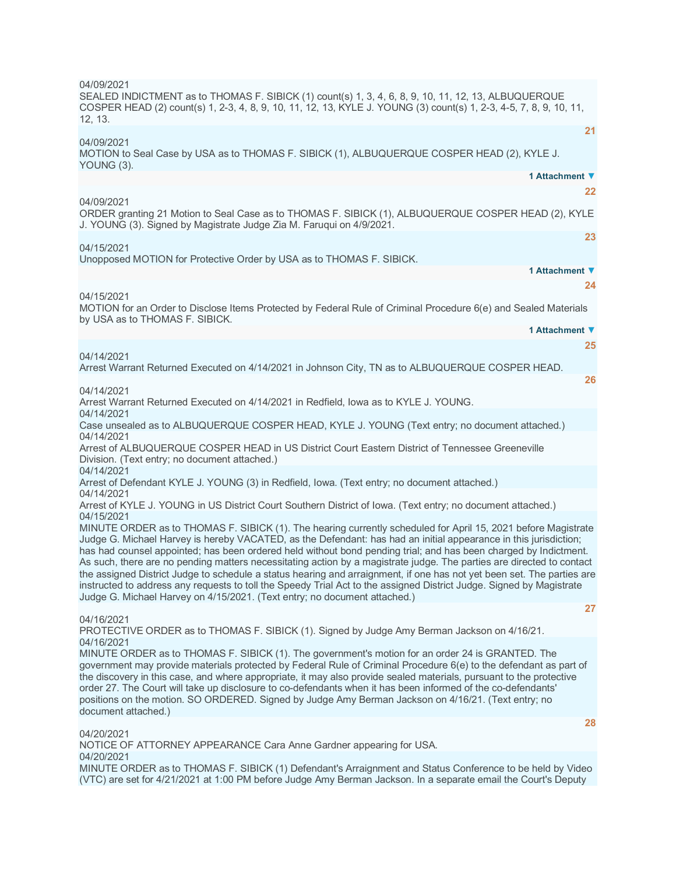| 04/09/2021<br>SEALED INDICTMENT as to THOMAS F. SIBICK (1) count(s) 1, 3, 4, 6, 8, 9, 10, 11, 12, 13, ALBUQUERQUE<br>COSPER HEAD (2) count(s) 1, 2-3, 4, 8, 9, 10, 11, 12, 13, KYLE J. YOUNG (3) count(s) 1, 2-3, 4-5, 7, 8, 9, 10, 11,<br>12, 13.                                                                                                                                                                                                                                                                                                                                                                                                                                                                                                                                                                          |
|-----------------------------------------------------------------------------------------------------------------------------------------------------------------------------------------------------------------------------------------------------------------------------------------------------------------------------------------------------------------------------------------------------------------------------------------------------------------------------------------------------------------------------------------------------------------------------------------------------------------------------------------------------------------------------------------------------------------------------------------------------------------------------------------------------------------------------|
| 21<br>04/09/2021<br>MOTION to Seal Case by USA as to THOMAS F. SIBICK (1), ALBUQUERQUE COSPER HEAD (2), KYLE J.<br>YOUNG (3).                                                                                                                                                                                                                                                                                                                                                                                                                                                                                                                                                                                                                                                                                               |
| 1 Attachment ▼<br>22                                                                                                                                                                                                                                                                                                                                                                                                                                                                                                                                                                                                                                                                                                                                                                                                        |
| 04/09/2021<br>ORDER granting 21 Motion to Seal Case as to THOMAS F. SIBICK (1), ALBUQUERQUE COSPER HEAD (2), KYLE<br>J. YOUNG (3). Signed by Magistrate Judge Zia M. Faruqui on 4/9/2021.                                                                                                                                                                                                                                                                                                                                                                                                                                                                                                                                                                                                                                   |
| 23<br>04/15/2021<br>Unopposed MOTION for Protective Order by USA as to THOMAS F. SIBICK.                                                                                                                                                                                                                                                                                                                                                                                                                                                                                                                                                                                                                                                                                                                                    |
| 1 Attachment ▼                                                                                                                                                                                                                                                                                                                                                                                                                                                                                                                                                                                                                                                                                                                                                                                                              |
| 24                                                                                                                                                                                                                                                                                                                                                                                                                                                                                                                                                                                                                                                                                                                                                                                                                          |
| 04/15/2021<br>MOTION for an Order to Disclose Items Protected by Federal Rule of Criminal Procedure 6(e) and Sealed Materials<br>by USA as to THOMAS F. SIBICK.                                                                                                                                                                                                                                                                                                                                                                                                                                                                                                                                                                                                                                                             |
| 1 Attachment ▼                                                                                                                                                                                                                                                                                                                                                                                                                                                                                                                                                                                                                                                                                                                                                                                                              |
| 25                                                                                                                                                                                                                                                                                                                                                                                                                                                                                                                                                                                                                                                                                                                                                                                                                          |
| 04/14/2021<br>Arrest Warrant Returned Executed on 4/14/2021 in Johnson City, TN as to ALBUQUERQUE COSPER HEAD.<br>26                                                                                                                                                                                                                                                                                                                                                                                                                                                                                                                                                                                                                                                                                                        |
| 04/14/2021<br>Arrest Warrant Returned Executed on 4/14/2021 in Redfield, lowa as to KYLE J. YOUNG.                                                                                                                                                                                                                                                                                                                                                                                                                                                                                                                                                                                                                                                                                                                          |
| 04/14/2021<br>Case unsealed as to ALBUQUERQUE COSPER HEAD, KYLE J. YOUNG (Text entry; no document attached.)                                                                                                                                                                                                                                                                                                                                                                                                                                                                                                                                                                                                                                                                                                                |
| 04/14/2021<br>Arrest of ALBUQUERQUE COSPER HEAD in US District Court Eastern District of Tennessee Greeneville<br>Division. (Text entry; no document attached.)                                                                                                                                                                                                                                                                                                                                                                                                                                                                                                                                                                                                                                                             |
| 04/14/2021<br>Arrest of Defendant KYLE J. YOUNG (3) in Redfield, Iowa. (Text entry; no document attached.)                                                                                                                                                                                                                                                                                                                                                                                                                                                                                                                                                                                                                                                                                                                  |
| 04/14/2021<br>Arrest of KYLE J. YOUNG in US District Court Southern District of lowa. (Text entry; no document attached.)                                                                                                                                                                                                                                                                                                                                                                                                                                                                                                                                                                                                                                                                                                   |
| 04/15/2021<br>MINUTE ORDER as to THOMAS F. SIBICK (1). The hearing currently scheduled for April 15, 2021 before Magistrate<br>Judge G. Michael Harvey is hereby VACATED, as the Defendant: has had an initial appearance in this jurisdiction;<br>has had counsel appointed; has been ordered held without bond pending trial; and has been charged by Indictment.<br>As such, there are no pending matters necessitating action by a magistrate judge. The parties are directed to contact<br>the assigned District Judge to schedule a status hearing and arraignment, if one has not yet been set. The parties are<br>instructed to address any requests to toll the Speedy Trial Act to the assigned District Judge. Signed by Magistrate<br>Judge G. Michael Harvey on 4/15/2021. (Text entry; no document attached.) |
| 27                                                                                                                                                                                                                                                                                                                                                                                                                                                                                                                                                                                                                                                                                                                                                                                                                          |
| 04/16/2021<br>PROTECTIVE ORDER as to THOMAS F. SIBICK (1). Signed by Judge Amy Berman Jackson on 4/16/21.                                                                                                                                                                                                                                                                                                                                                                                                                                                                                                                                                                                                                                                                                                                   |
| 04/16/2021<br>MINUTE ORDER as to THOMAS F. SIBICK (1). The government's motion for an order 24 is GRANTED. The<br>government may provide materials protected by Federal Rule of Criminal Procedure 6(e) to the defendant as part of<br>the discovery in this case, and where appropriate, it may also provide sealed materials, pursuant to the protective<br>order 27. The Court will take up disclosure to co-defendants when it has been informed of the co-defendants'<br>positions on the motion. SO ORDERED. Signed by Judge Amy Berman Jackson on 4/16/21. (Text entry; no<br>document attached.)                                                                                                                                                                                                                    |
| 28<br>04/20/2021                                                                                                                                                                                                                                                                                                                                                                                                                                                                                                                                                                                                                                                                                                                                                                                                            |
| NOTICE OF ATTORNEY APPEARANCE Cara Anne Gardner appearing for USA.                                                                                                                                                                                                                                                                                                                                                                                                                                                                                                                                                                                                                                                                                                                                                          |
| 04/20/2021<br>MINUTE ORDER as to THOMAS F. SIBICK (1) Defendant's Arraignment and Status Conference to be held by Video<br>(VTC) are set for 4/21/2021 at 1:00 PM before Judge Amy Berman Jackson. In a separate email the Court's Deputy                                                                                                                                                                                                                                                                                                                                                                                                                                                                                                                                                                                   |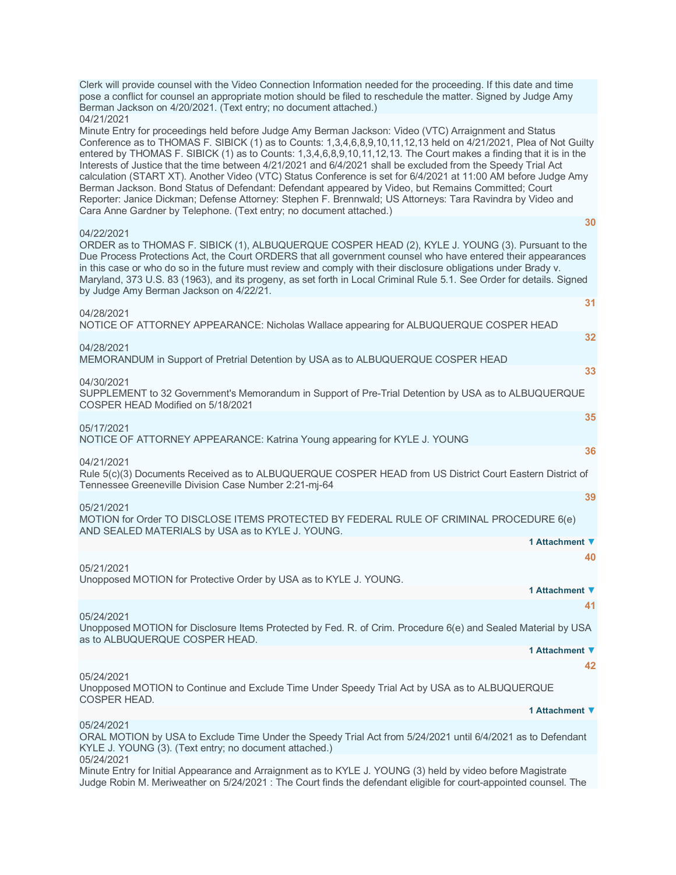| Clerk will provide counsel with the Video Connection Information needed for the proceeding. If this date and time<br>pose a conflict for counsel an appropriate motion should be filed to reschedule the matter. Signed by Judge Amy<br>Berman Jackson on 4/20/2021. (Text entry; no document attached.)                                                                                                                                                                                                                                                                                                                                                                                                                                                                                                                                                                                      |
|-----------------------------------------------------------------------------------------------------------------------------------------------------------------------------------------------------------------------------------------------------------------------------------------------------------------------------------------------------------------------------------------------------------------------------------------------------------------------------------------------------------------------------------------------------------------------------------------------------------------------------------------------------------------------------------------------------------------------------------------------------------------------------------------------------------------------------------------------------------------------------------------------|
| 04/21/2021<br>Minute Entry for proceedings held before Judge Amy Berman Jackson: Video (VTC) Arraignment and Status<br>Conference as to THOMAS F. SIBICK (1) as to Counts: 1,3,4,6,8,9,10,11,12,13 held on 4/21/2021, Plea of Not Guilty<br>entered by THOMAS F. SIBICK (1) as to Counts: 1,3,4,6,8,9,10,11,12,13. The Court makes a finding that it is in the<br>Interests of Justice that the time between 4/21/2021 and 6/4/2021 shall be excluded from the Speedy Trial Act<br>calculation (START XT). Another Video (VTC) Status Conference is set for 6/4/2021 at 11:00 AM before Judge Amy<br>Berman Jackson. Bond Status of Defendant: Defendant appeared by Video, but Remains Committed; Court<br>Reporter: Janice Dickman; Defense Attorney: Stephen F. Brennwald; US Attorneys: Tara Ravindra by Video and<br>Cara Anne Gardner by Telephone. (Text entry; no document attached.) |
| 30<br>04/22/2021                                                                                                                                                                                                                                                                                                                                                                                                                                                                                                                                                                                                                                                                                                                                                                                                                                                                              |
| ORDER as to THOMAS F. SIBICK (1), ALBUQUERQUE COSPER HEAD (2), KYLE J. YOUNG (3). Pursuant to the<br>Due Process Protections Act, the Court ORDERS that all government counsel who have entered their appearances<br>in this case or who do so in the future must review and comply with their disclosure obligations under Brady v.<br>Maryland, 373 U.S. 83 (1963), and its progeny, as set forth in Local Criminal Rule 5.1. See Order for details. Signed<br>by Judge Amy Berman Jackson on 4/22/21.                                                                                                                                                                                                                                                                                                                                                                                      |
| 31<br>04/28/2021                                                                                                                                                                                                                                                                                                                                                                                                                                                                                                                                                                                                                                                                                                                                                                                                                                                                              |
| NOTICE OF ATTORNEY APPEARANCE: Nicholas Wallace appearing for ALBUQUERQUE COSPER HEAD                                                                                                                                                                                                                                                                                                                                                                                                                                                                                                                                                                                                                                                                                                                                                                                                         |
| 32<br>04/28/2021                                                                                                                                                                                                                                                                                                                                                                                                                                                                                                                                                                                                                                                                                                                                                                                                                                                                              |
| MEMORANDUM in Support of Pretrial Detention by USA as to ALBUQUERQUE COSPER HEAD                                                                                                                                                                                                                                                                                                                                                                                                                                                                                                                                                                                                                                                                                                                                                                                                              |
| 33<br>04/30/2021                                                                                                                                                                                                                                                                                                                                                                                                                                                                                                                                                                                                                                                                                                                                                                                                                                                                              |
| SUPPLEMENT to 32 Government's Memorandum in Support of Pre-Trial Detention by USA as to ALBUQUERQUE<br>COSPER HEAD Modified on 5/18/2021                                                                                                                                                                                                                                                                                                                                                                                                                                                                                                                                                                                                                                                                                                                                                      |
| 35<br>05/17/2021                                                                                                                                                                                                                                                                                                                                                                                                                                                                                                                                                                                                                                                                                                                                                                                                                                                                              |
| NOTICE OF ATTORNEY APPEARANCE: Katrina Young appearing for KYLE J. YOUNG<br>36                                                                                                                                                                                                                                                                                                                                                                                                                                                                                                                                                                                                                                                                                                                                                                                                                |
| 04/21/2021<br>Rule 5(c)(3) Documents Received as to ALBUQUERQUE COSPER HEAD from US District Court Eastern District of<br>Tennessee Greeneville Division Case Number 2:21-mj-64                                                                                                                                                                                                                                                                                                                                                                                                                                                                                                                                                                                                                                                                                                               |
| 39<br>05/21/2021                                                                                                                                                                                                                                                                                                                                                                                                                                                                                                                                                                                                                                                                                                                                                                                                                                                                              |
| MOTION for Order TO DISCLOSE ITEMS PROTECTED BY FEDERAL RULE OF CRIMINAL PROCEDURE 6(e)<br>AND SEALED MATERIALS by USA as to KYLE J. YOUNG.                                                                                                                                                                                                                                                                                                                                                                                                                                                                                                                                                                                                                                                                                                                                                   |
| 1 Attachment ▼                                                                                                                                                                                                                                                                                                                                                                                                                                                                                                                                                                                                                                                                                                                                                                                                                                                                                |
| 40<br>05/21/2021                                                                                                                                                                                                                                                                                                                                                                                                                                                                                                                                                                                                                                                                                                                                                                                                                                                                              |
| Unopposed MOTION for Protective Order by USA as to KYLE J. YOUNG.                                                                                                                                                                                                                                                                                                                                                                                                                                                                                                                                                                                                                                                                                                                                                                                                                             |
| 1 Attachment ▼                                                                                                                                                                                                                                                                                                                                                                                                                                                                                                                                                                                                                                                                                                                                                                                                                                                                                |
| 41<br>05/24/2021<br>Unopposed MOTION for Disclosure Items Protected by Fed. R. of Crim. Procedure 6(e) and Sealed Material by USA                                                                                                                                                                                                                                                                                                                                                                                                                                                                                                                                                                                                                                                                                                                                                             |
| as to ALBUQUERQUE COSPER HEAD.<br>1 Attachment ▼                                                                                                                                                                                                                                                                                                                                                                                                                                                                                                                                                                                                                                                                                                                                                                                                                                              |
| 42                                                                                                                                                                                                                                                                                                                                                                                                                                                                                                                                                                                                                                                                                                                                                                                                                                                                                            |
| 05/24/2021<br>Unopposed MOTION to Continue and Exclude Time Under Speedy Trial Act by USA as to ALBUQUERQUE<br><b>COSPER HEAD.</b>                                                                                                                                                                                                                                                                                                                                                                                                                                                                                                                                                                                                                                                                                                                                                            |
| 1 Attachment ▼                                                                                                                                                                                                                                                                                                                                                                                                                                                                                                                                                                                                                                                                                                                                                                                                                                                                                |
| 05/24/2021<br>ORAL MOTION by USA to Exclude Time Under the Speedy Trial Act from 5/24/2021 until 6/4/2021 as to Defendant<br>KYLE J. YOUNG (3). (Text entry; no document attached.)                                                                                                                                                                                                                                                                                                                                                                                                                                                                                                                                                                                                                                                                                                           |
| 05/24/2021<br>Minute Entry for Initial Appearance and Arraignment as to KYLE J. YOUNG (3) held by video before Magistrate<br>Judge Robin M. Meriweather on 5/24/2021 : The Court finds the defendant eligible for court-appointed counsel. The                                                                                                                                                                                                                                                                                                                                                                                                                                                                                                                                                                                                                                                |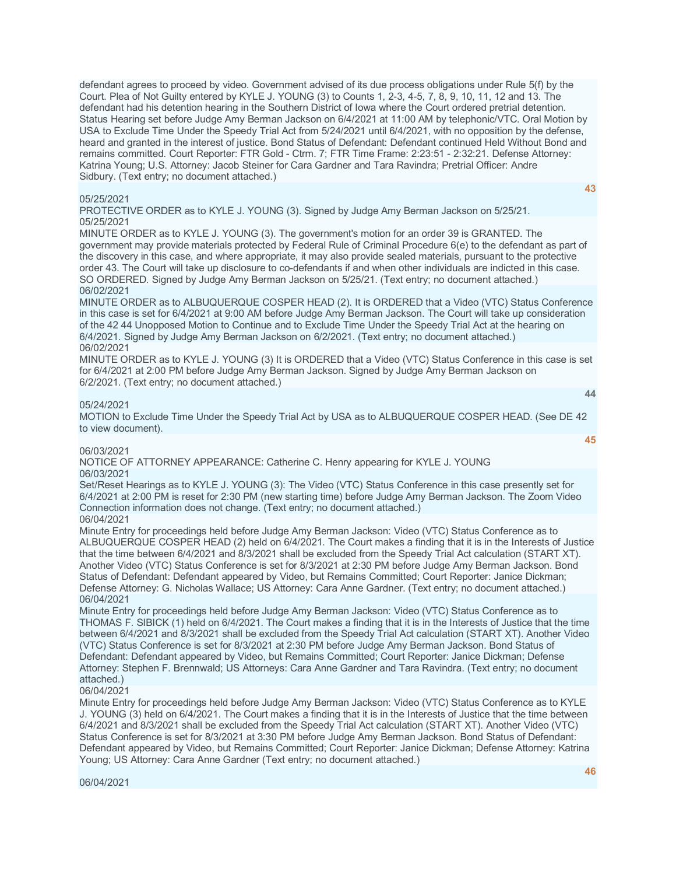defendant agrees to proceed by video. Government advised of its due process obligations under Rule 5(f) by the Court. Plea of Not Guilty entered by KYLE J. YOUNG (3) to Counts 1, 2-3, 4-5, 7, 8, 9, 10, 11, 12 and 13. The defendant had his detention hearing in the Southern District of Iowa where the Court ordered pretrial detention. Status Hearing set before Judge Amy Berman Jackson on 6/4/2021 at 11:00 AM by telephonic/VTC. Oral Motion by USA to Exclude Time Under the Speedy Trial Act from 5/24/2021 until 6/4/2021, with no opposition by the defense, heard and granted in the interest of justice. Bond Status of Defendant: Defendant continued Held Without Bond and remains committed. Court Reporter: FTR Gold - Ctrm. 7; FTR Time Frame: 2:23:51 - 2:32:21. Defense Attorney: Katrina Young; U.S. Attorney: Jacob Steiner for Cara Gardner and Tara Ravindra; Pretrial Officer: Andre Sidbury. (Text entry; no document attached.)

#### 05/25/2021

**[43](javascript:void(0))**

**[44](javascript:void(0))**

**[45](javascript:void(0))**

PROTECTIVE ORDER as to KYLE J. YOUNG (3). Signed by Judge Amy Berman Jackson on 5/25/21. 05/25/2021

MINUTE ORDER as to KYLE J. YOUNG (3). The government's motion for an order 39 is GRANTED. The government may provide materials protected by Federal Rule of Criminal Procedure 6(e) to the defendant as part of the discovery in this case, and where appropriate, it may also provide sealed materials, pursuant to the protective order 43. The Court will take up disclosure to co-defendants if and when other individuals are indicted in this case. SO ORDERED. Signed by Judge Amy Berman Jackson on 5/25/21. (Text entry; no document attached.) 06/02/2021

MINUTE ORDER as to ALBUQUERQUE COSPER HEAD (2). It is ORDERED that a Video (VTC) Status Conference in this case is set for 6/4/2021 at 9:00 AM before Judge Amy Berman Jackson. The Court will take up consideration of the 42 44 Unopposed Motion to Continue and to Exclude Time Under the Speedy Trial Act at the hearing on 6/4/2021. Signed by Judge Amy Berman Jackson on 6/2/2021. (Text entry; no document attached.) 06/02/2021

MINUTE ORDER as to KYLE J. YOUNG (3) It is ORDERED that a Video (VTC) Status Conference in this case is set for 6/4/2021 at 2:00 PM before Judge Amy Berman Jackson. Signed by Judge Amy Berman Jackson on 6/2/2021. (Text entry; no document attached.)

# 05/24/2021

MOTION to Exclude Time Under the Speedy Trial Act by USA as to ALBUQUERQUE COSPER HEAD. (See DE 42 to view document).

#### 06/03/2021

NOTICE OF ATTORNEY APPEARANCE: Catherine C. Henry appearing for KYLE J. YOUNG 06/03/2021

Set/Reset Hearings as to KYLE J. YOUNG (3): The Video (VTC) Status Conference in this case presently set for 6/4/2021 at 2:00 PM is reset for 2:30 PM (new starting time) before Judge Amy Berman Jackson. The Zoom Video Connection information does not change. (Text entry; no document attached.)

06/04/2021

Minute Entry for proceedings held before Judge Amy Berman Jackson: Video (VTC) Status Conference as to ALBUQUERQUE COSPER HEAD (2) held on 6/4/2021. The Court makes a finding that it is in the Interests of Justice that the time between 6/4/2021 and 8/3/2021 shall be excluded from the Speedy Trial Act calculation (START XT). Another Video (VTC) Status Conference is set for 8/3/2021 at 2:30 PM before Judge Amy Berman Jackson. Bond Status of Defendant: Defendant appeared by Video, but Remains Committed; Court Reporter: Janice Dickman; Defense Attorney: G. Nicholas Wallace; US Attorney: Cara Anne Gardner. (Text entry; no document attached.) 06/04/2021

Minute Entry for proceedings held before Judge Amy Berman Jackson: Video (VTC) Status Conference as to THOMAS F. SIBICK (1) held on 6/4/2021. The Court makes a finding that it is in the Interests of Justice that the time between 6/4/2021 and 8/3/2021 shall be excluded from the Speedy Trial Act calculation (START XT). Another Video (VTC) Status Conference is set for 8/3/2021 at 2:30 PM before Judge Amy Berman Jackson. Bond Status of Defendant: Defendant appeared by Video, but Remains Committed; Court Reporter: Janice Dickman; Defense Attorney: Stephen F. Brennwald; US Attorneys: Cara Anne Gardner and Tara Ravindra. (Text entry; no document attached.)

06/04/2021

Minute Entry for proceedings held before Judge Amy Berman Jackson: Video (VTC) Status Conference as to KYLE J. YOUNG (3) held on 6/4/2021. The Court makes a finding that it is in the Interests of Justice that the time between 6/4/2021 and 8/3/2021 shall be excluded from the Speedy Trial Act calculation (START XT). Another Video (VTC) Status Conference is set for 8/3/2021 at 3:30 PM before Judge Amy Berman Jackson. Bond Status of Defendant: Defendant appeared by Video, but Remains Committed; Court Reporter: Janice Dickman; Defense Attorney: Katrina Young; US Attorney: Cara Anne Gardner (Text entry; no document attached.)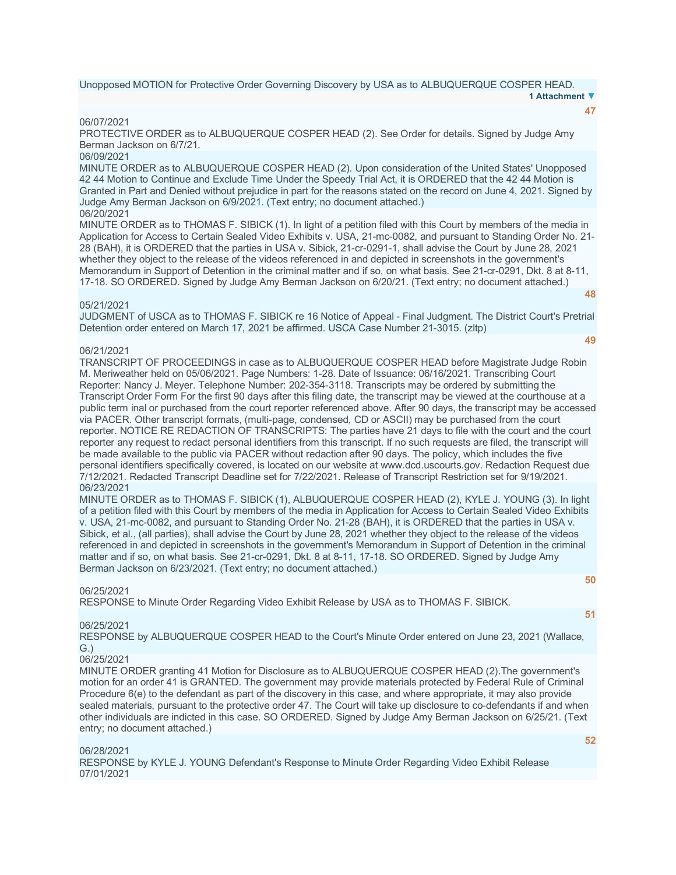Unopposed MOTION for Protective Order Governing Discovery by USA as to ALBUQUERQUE COSPER HEAD. **1 Attachment ▼**

#### 06/07/2021

PROTECTIVE ORDER as to ALBUQUERQUE COSPER HEAD (2). See Order for details. Signed by Judge Amy Berman Jackson on 6/7/21.

# 06/09/2021

MINUTE ORDER as to ALBUQUERQUE COSPER HEAD (2). Upon consideration of the United States' Unopposed 42 44 Motion to Continue and Exclude Time Under the Speedy Trial Act, it is ORDERED that the 42 44 Motion is Granted in Part and Denied without prejudice in part for the reasons stated on the record on June 4, 2021. Signed by Judge Amy Berman Jackson on 6/9/2021. (Text entry; no document attached.) 06/20/2021

MINUTE ORDER as to THOMAS F. SIBICK (1). In light of a petition filed with this Court by members of the media in Application for Access to Certain Sealed Video Exhibits v. USA, 21-mc-0082, and pursuant to Standing Order No. 21- 28 (BAH), it is ORDERED that the parties in USA v. Sibick, 21-cr-0291-1, shall advise the Court by June 28, 2021 whether they object to the release of the videos referenced in and depicted in screenshots in the government's Memorandum in Support of Detention in the criminal matter and if so, on what basis. See 21-cr-0291, Dkt. 8 at 8-11, 17-18. SO ORDERED. Signed by Judge Amy Berman Jackson on 6/20/21. (Text entry; no document attached.) **[48](javascript:void(0))**

# 05/21/2021

JUDGMENT of USCA as to THOMAS F. SIBICK re 16 Notice of Appeal - Final Judgment. The District Court's Pretrial Detention order entered on March 17, 2021 be affirmed. USCA Case Number 21-3015. (zltp)

# 06/21/2021

TRANSCRIPT OF PROCEEDINGS in case as to ALBUQUERQUE COSPER HEAD before Magistrate Judge Robin M. Meriweather held on 05/06/2021. Page Numbers: 1-28. Date of Issuance: 06/16/2021. Transcribing Court Reporter: Nancy J. Meyer. Telephone Number: 202-354-3118. Transcripts may be ordered by submitting the Transcript Order Form For the first 90 days after this filing date, the transcript may be viewed at the courthouse at a public term inal or purchased from the court reporter referenced above. After 90 days, the transcript may be accessed via PACER. Other transcript formats, (multi-page, condensed, CD or ASCII) may be purchased from the court reporter. NOTICE RE REDACTION OF TRANSCRIPTS: The parties have 21 days to file with the court and the court reporter any request to redact personal identifiers from this transcript. If no such requests are filed, the transcript will be made available to the public via PACER without redaction after 90 days. The policy, which includes the five personal identifiers specifically covered, is located on our website at www.dcd.uscourts.gov. Redaction Request due 7/12/2021. Redacted Transcript Deadline set for 7/22/2021. Release of Transcript Restriction set for 9/19/2021. 06/23/2021

MINUTE ORDER as to THOMAS F. SIBICK (1), ALBUQUERQUE COSPER HEAD (2), KYLE J. YOUNG (3). In light of a petition filed with this Court by members of the media in Application for Access to Certain Sealed Video Exhibits v. USA, 21-mc-0082, and pursuant to Standing Order No. 21-28 (BAH), it is ORDERED that the parties in USA v. Sibick, et al., (all parties), shall advise the Court by June 28, 2021 whether they object to the release of the videos referenced in and depicted in screenshots in the government's Memorandum in Support of Detention in the criminal matter and if so, on what basis. See 21-cr-0291, Dkt. 8 at 8-11, 17-18. SO ORDERED. Signed by Judge Amy Berman Jackson on 6/23/2021. (Text entry; no document attached.)

#### 06/25/2021

RESPONSE to Minute Order Regarding Video Exhibit Release by USA as to THOMAS F. SIBICK.

# **[51](javascript:void(0))**

**[50](javascript:void(0))**

#### 06/25/2021

RESPONSE by ALBUQUERQUE COSPER HEAD to the Court's Minute Order entered on June 23, 2021 (Wallace, G.)

#### 06/25/2021

MINUTE ORDER granting 41 Motion for Disclosure as to ALBUQUERQUE COSPER HEAD (2).The government's motion for an order 41 is GRANTED. The government may provide materials protected by Federal Rule of Criminal Procedure 6(e) to the defendant as part of the discovery in this case, and where appropriate, it may also provide sealed materials, pursuant to the protective order 47. The Court will take up disclosure to co-defendants if and when other individuals are indicted in this case. SO ORDERED. Signed by Judge Amy Berman Jackson on 6/25/21. (Text entry; no document attached.)

#### 06/28/2021

RESPONSE by KYLE J. YOUNG Defendant's Response to Minute Order Regarding Video Exhibit Release 07/01/2021

**[52](javascript:void(0))**

# **[47](javascript:void(0))**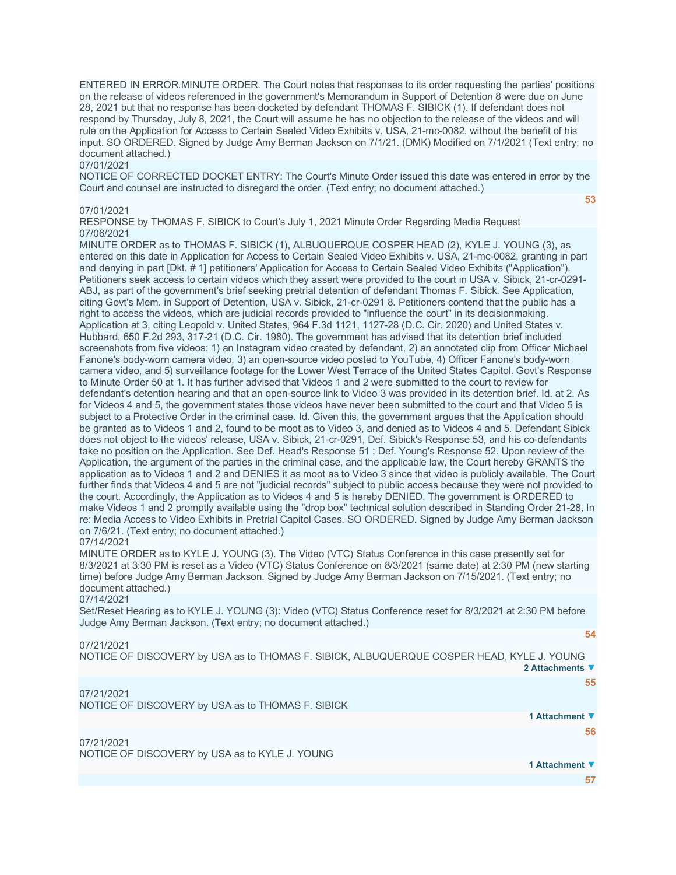ENTERED IN ERROR.MINUTE ORDER. The Court notes that responses to its order requesting the parties' positions on the release of videos referenced in the government's Memorandum in Support of Detention 8 were due on June 28, 2021 but that no response has been docketed by defendant THOMAS F. SIBICK (1). If defendant does not respond by Thursday, July 8, 2021, the Court will assume he has no objection to the release of the videos and will rule on the Application for Access to Certain Sealed Video Exhibits v. USA, 21-mc-0082, without the benefit of his input. SO ORDERED. Signed by Judge Amy Berman Jackson on 7/1/21. (DMK) Modified on 7/1/2021 (Text entry; no document attached.)

#### 07/01/2021

NOTICE OF CORRECTED DOCKET ENTRY: The Court's Minute Order issued this date was entered in error by the Court and counsel are instructed to disregard the order. (Text entry; no document attached.)

#### 07/01/2021

RESPONSE by THOMAS F. SIBICK to Court's July 1, 2021 Minute Order Regarding Media Request 07/06/2021

MINUTE ORDER as to THOMAS F. SIBICK (1), ALBUQUERQUE COSPER HEAD (2), KYLE J. YOUNG (3), as entered on this date in Application for Access to Certain Sealed Video Exhibits v. USA, 21-mc-0082, granting in part and denying in part [Dkt. # 1] petitioners' Application for Access to Certain Sealed Video Exhibits ("Application"). Petitioners seek access to certain videos which they assert were provided to the court in USA v. Sibick, 21-cr-0291- ABJ, as part of the government's brief seeking pretrial detention of defendant Thomas F. Sibick. See Application, citing Govt's Mem. in Support of Detention, USA v. Sibick, 21-cr-0291 8. Petitioners contend that the public has a right to access the videos, which are judicial records provided to "influence the court" in its decisionmaking. Application at 3, citing Leopold v. United States, 964 F.3d 1121, 1127-28 (D.C. Cir. 2020) and United States v. Hubbard, 650 F.2d 293, 317-21 (D.C. Cir. 1980). The government has advised that its detention brief included screenshots from five videos: 1) an Instagram video created by defendant, 2) an annotated clip from Officer Michael Fanone's body-worn camera video, 3) an open-source video posted to YouTube, 4) Officer Fanone's body-worn camera video, and 5) surveillance footage for the Lower West Terrace of the United States Capitol. Govt's Response to Minute Order 50 at 1. It has further advised that Videos 1 and 2 were submitted to the court to review for defendant's detention hearing and that an open-source link to Video 3 was provided in its detention brief. Id. at 2. As for Videos 4 and 5, the government states those videos have never been submitted to the court and that Video 5 is subject to a Protective Order in the criminal case. Id. Given this, the government argues that the Application should be granted as to Videos 1 and 2, found to be moot as to Video 3, and denied as to Videos 4 and 5. Defendant Sibick does not object to the videos' release, USA v. Sibick, 21-cr-0291, Def. Sibick's Response 53, and his co-defendants take no position on the Application. See Def. Head's Response 51 ; Def. Young's Response 52. Upon review of the Application, the argument of the parties in the criminal case, and the applicable law, the Court hereby GRANTS the application as to Videos 1 and 2 and DENIES it as moot as to Video 3 since that video is publicly available. The Court further finds that Videos 4 and 5 are not "judicial records" subject to public access because they were not provided to the court. Accordingly, the Application as to Videos 4 and 5 is hereby DENIED. The government is ORDERED to make Videos 1 and 2 promptly available using the "drop box" technical solution described in Standing Order 21-28, In re: Media Access to Video Exhibits in Pretrial Capitol Cases. SO ORDERED. Signed by Judge Amy Berman Jackson on 7/6/21. (Text entry; no document attached.)

#### 07/14/2021

MINUTE ORDER as to KYLE J. YOUNG (3). The Video (VTC) Status Conference in this case presently set for 8/3/2021 at 3:30 PM is reset as a Video (VTC) Status Conference on 8/3/2021 (same date) at 2:30 PM (new starting time) before Judge Amy Berman Jackson. Signed by Judge Amy Berman Jackson on 7/15/2021. (Text entry; no document attached.)

# 07/14/2021

Set/Reset Hearing as to KYLE J. YOUNG (3): Video (VTC) Status Conference reset for 8/3/2021 at 2:30 PM before Judge Amy Berman Jackson. (Text entry; no document attached.)

#### 07/21/2021

NOTICE OF DISCOVERY by USA as to THOMAS F. SIBICK, ALBUQUERQUE COSPER HEAD, KYLE J. YOUNG **2 Attachments ▼**

# 07/21/2021

NOTICE OF DISCOVERY by USA as to THOMAS F. SIBICK

**1 Attachment ▼ [56](javascript:void(0))**

07/21/2021 NOTICE OF DISCOVERY by USA as to KYLE J. YOUNG

**1 Attachment ▼**

**[57](javascript:void(0))**

**[54](javascript:void(0))**

**[55](javascript:void(0))**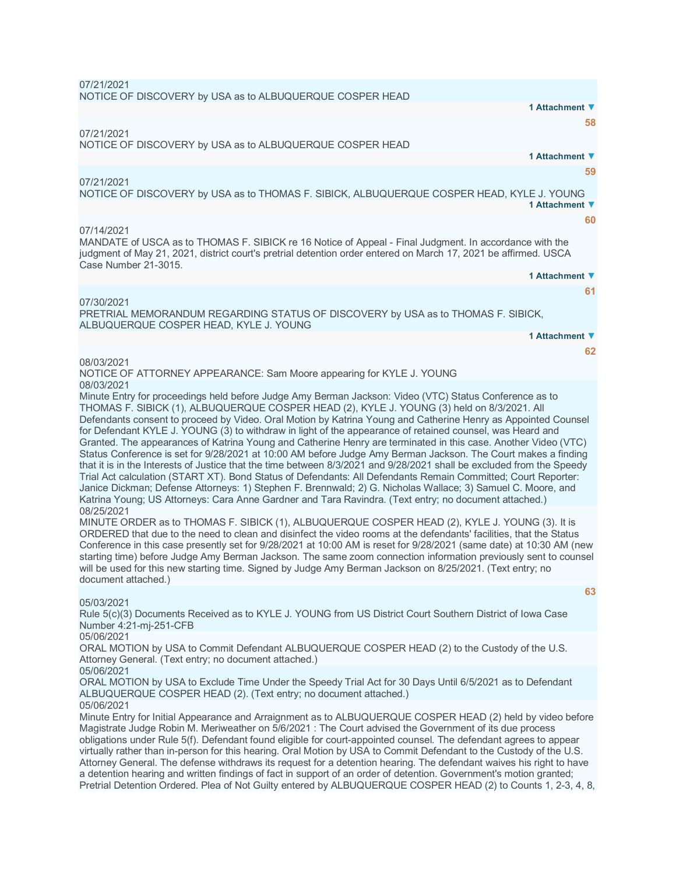07/21/2021 NOTICE OF DISCOVERY by USA as to ALBUQUERQUE COSPER HEAD **1 Attachment ▼ [58](javascript:void(0))** 07/21/2021 NOTICE OF DISCOVERY by USA as to ALBUQUERQUE COSPER HEAD **1 Attachment ▼ [59](javascript:void(0))** 07/21/2021 NOTICE OF DISCOVERY by USA as to THOMAS F. SIBICK, ALBUQUERQUE COSPER HEAD, KYLE J. YOUNG **1 Attachment ▼ [60](javascript:void(0))** 07/14/2021 MANDATE of USCA as to THOMAS F. SIBICK re 16 Notice of Appeal - Final Judgment. In accordance with the judgment of May 21, 2021, district court's pretrial detention order entered on March 17, 2021 be affirmed. USCA Case Number 21-3015. **1 Attachment ▼ [61](javascript:void(0))** 07/30/2021 PRETRIAL MEMORANDUM REGARDING STATUS OF DISCOVERY by USA as to THOMAS F. SIBICK, ALBUQUERQUE COSPER HEAD, KYLE J. YOUNG **1 Attachment ▼ [62](javascript:void(0))** 08/03/2021 NOTICE OF ATTORNEY APPEARANCE: Sam Moore appearing for KYLE J. YOUNG 08/03/2021 Minute Entry for proceedings held before Judge Amy Berman Jackson: Video (VTC) Status Conference as to THOMAS F. SIBICK (1), ALBUQUERQUE COSPER HEAD (2), KYLE J. YOUNG (3) held on 8/3/2021. All Defendants consent to proceed by Video. Oral Motion by Katrina Young and Catherine Henry as Appointed Counsel for Defendant KYLE J. YOUNG (3) to withdraw in light of the appearance of retained counsel, was Heard and Granted. The appearances of Katrina Young and Catherine Henry are terminated in this case. Another Video (VTC) Status Conference is set for 9/28/2021 at 10:00 AM before Judge Amy Berman Jackson. The Court makes a finding that it is in the Interests of Justice that the time between 8/3/2021 and 9/28/2021 shall be excluded from the Speedy Trial Act calculation (START XT). Bond Status of Defendants: All Defendants Remain Committed; Court Reporter: Janice Dickman; Defense Attorneys: 1) Stephen F. Brennwald; 2) G. Nicholas Wallace; 3) Samuel C. Moore, and Katrina Young; US Attorneys: Cara Anne Gardner and Tara Ravindra. (Text entry; no document attached.) 08/25/2021 MINUTE ORDER as to THOMAS F. SIBICK (1), ALBUQUERQUE COSPER HEAD (2), KYLE J. YOUNG (3). It is ORDERED that due to the need to clean and disinfect the video rooms at the defendants' facilities, that the Status Conference in this case presently set for 9/28/2021 at 10:00 AM is reset for 9/28/2021 (same date) at 10:30 AM (new starting time) before Judge Amy Berman Jackson. The same zoom connection information previously sent to counsel will be used for this new starting time. Signed by Judge Amy Berman Jackson on 8/25/2021. (Text entry; no document attached.) **[63](javascript:void(0))** 05/03/2021 Rule 5(c)(3) Documents Received as to KYLE J. YOUNG from US District Court Southern District of Iowa Case Number 4:21-mj-251-CFB 05/06/2021 ORAL MOTION by USA to Commit Defendant ALBUQUERQUE COSPER HEAD (2) to the Custody of the U.S. Attorney General. (Text entry; no document attached.) 05/06/2021 ORAL MOTION by USA to Exclude Time Under the Speedy Trial Act for 30 Days Until 6/5/2021 as to Defendant ALBUQUERQUE COSPER HEAD (2). (Text entry; no document attached.) 05/06/2021 Minute Entry for Initial Appearance and Arraignment as to ALBUQUERQUE COSPER HEAD (2) held by video before Magistrate Judge Robin M. Meriweather on 5/6/2021 : The Court advised the Government of its due process obligations under Rule 5(f). Defendant found eligible for court-appointed counsel. The defendant agrees to appear virtually rather than in-person for this hearing. Oral Motion by USA to Commit Defendant to the Custody of the U.S. Attorney General. The defense withdraws its request for a detention hearing. The defendant waives his right to have a detention hearing and written findings of fact in support of an order of detention. Government's motion granted; Pretrial Detention Ordered. Plea of Not Guilty entered by ALBUQUERQUE COSPER HEAD (2) to Counts 1, 2-3, 4, 8,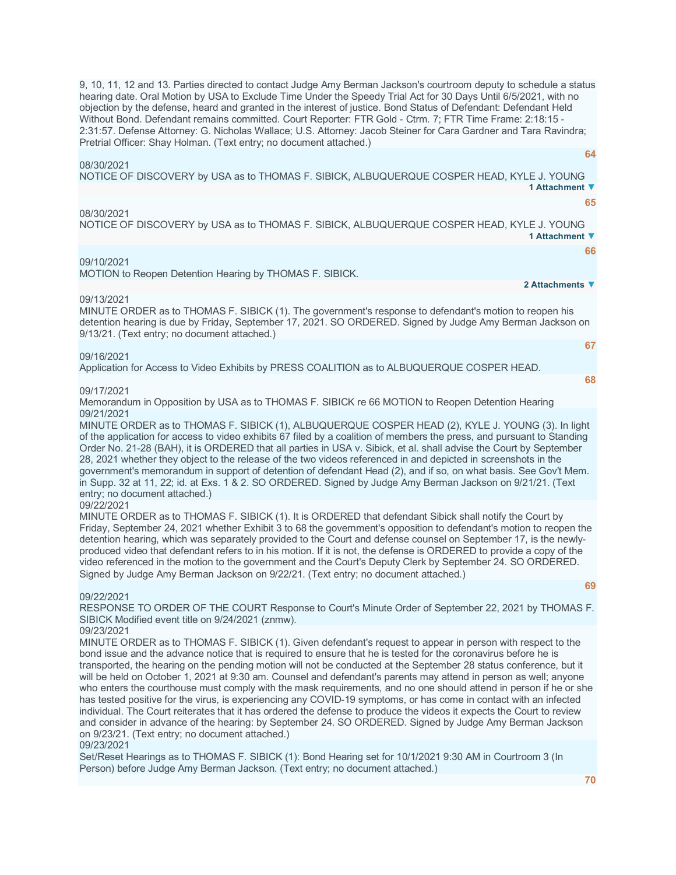9, 10, 11, 12 and 13. Parties directed to contact Judge Amy Berman Jackson's courtroom deputy to schedule a status hearing date. Oral Motion by USA to Exclude Time Under the Speedy Trial Act for 30 Days Until 6/5/2021, with no objection by the defense, heard and granted in the interest of justice. Bond Status of Defendant: Defendant Held Without Bond. Defendant remains committed. Court Reporter: FTR Gold - Ctrm. 7; FTR Time Frame: 2:18:15 - 2:31:57. Defense Attorney: G. Nicholas Wallace; U.S. Attorney: Jacob Steiner for Cara Gardner and Tara Ravindra; Pretrial Officer: Shay Holman. (Text entry; no document attached.)

#### 08/30/2021

NOTICE OF DISCOVERY by USA as to THOMAS F. SIBICK, ALBUQUERQUE COSPER HEAD, KYLE J. YOUNG **1 Attachment ▼**

**[65](javascript:void(0))**

**[64](javascript:void(0))**

#### 08/30/2021

NOTICE OF DISCOVERY by USA as to THOMAS F. SIBICK, ALBUQUERQUE COSPER HEAD, KYLE J. YOUNG **1 Attachment ▼**

**[66](javascript:void(0))**

#### 09/10/2021

MOTION to Reopen Detention Hearing by THOMAS F. SIBICK.

**2 Attachments ▼**

#### 09/13/2021

MINUTE ORDER as to THOMAS F. SIBICK (1). The government's response to defendant's motion to reopen his detention hearing is due by Friday, September 17, 2021. SO ORDERED. Signed by Judge Amy Berman Jackson on 9/13/21. (Text entry; no document attached.) **[67](javascript:void(0))**

#### 09/16/2021

Application for Access to Video Exhibits by PRESS COALITION as to ALBUQUERQUE COSPER HEAD.

**[68](javascript:void(0))**

#### 09/17/2021

Memorandum in Opposition by USA as to THOMAS F. SIBICK re 66 MOTION to Reopen Detention Hearing 09/21/2021

MINUTE ORDER as to THOMAS F. SIBICK (1), ALBUQUERQUE COSPER HEAD (2), KYLE J. YOUNG (3). In light of the application for access to video exhibits 67 filed by a coalition of members the press, and pursuant to Standing Order No. 21-28 (BAH), it is ORDERED that all parties in USA v. Sibick, et al. shall advise the Court by September 28, 2021 whether they object to the release of the two videos referenced in and depicted in screenshots in the government's memorandum in support of detention of defendant Head (2), and if so, on what basis. See Gov't Mem. in Supp. 32 at 11, 22; id. at Exs. 1 & 2. SO ORDERED. Signed by Judge Amy Berman Jackson on 9/21/21. (Text entry; no document attached.)

# 09/22/2021

MINUTE ORDER as to THOMAS F. SIBICK (1). It is ORDERED that defendant Sibick shall notify the Court by Friday, September 24, 2021 whether Exhibit 3 to 68 the government's opposition to defendant's motion to reopen the detention hearing, which was separately provided to the Court and defense counsel on September 17, is the newlyproduced video that defendant refers to in his motion. If it is not, the defense is ORDERED to provide a copy of the video referenced in the motion to the government and the Court's Deputy Clerk by September 24. SO ORDERED. Signed by Judge Amy Berman Jackson on 9/22/21. (Text entry; no document attached.)

#### 09/22/2021

RESPONSE TO ORDER OF THE COURT Response to Court's Minute Order of September 22, 2021 by THOMAS F. SIBICK Modified event title on 9/24/2021 (znmw).

#### 09/23/2021

MINUTE ORDER as to THOMAS F. SIBICK (1). Given defendant's request to appear in person with respect to the bond issue and the advance notice that is required to ensure that he is tested for the coronavirus before he is transported, the hearing on the pending motion will not be conducted at the September 28 status conference, but it will be held on October 1, 2021 at 9:30 am. Counsel and defendant's parents may attend in person as well; anyone who enters the courthouse must comply with the mask requirements, and no one should attend in person if he or she has tested positive for the virus, is experiencing any COVID-19 symptoms, or has come in contact with an infected individual. The Court reiterates that it has ordered the defense to produce the videos it expects the Court to review and consider in advance of the hearing: by September 24. SO ORDERED. Signed by Judge Amy Berman Jackson on 9/23/21. (Text entry; no document attached.) 09/23/2021

Set/Reset Hearings as to THOMAS F. SIBICK (1): Bond Hearing set for 10/1/2021 9:30 AM in Courtroom 3 (In Person) before Judge Amy Berman Jackson. (Text entry; no document attached.)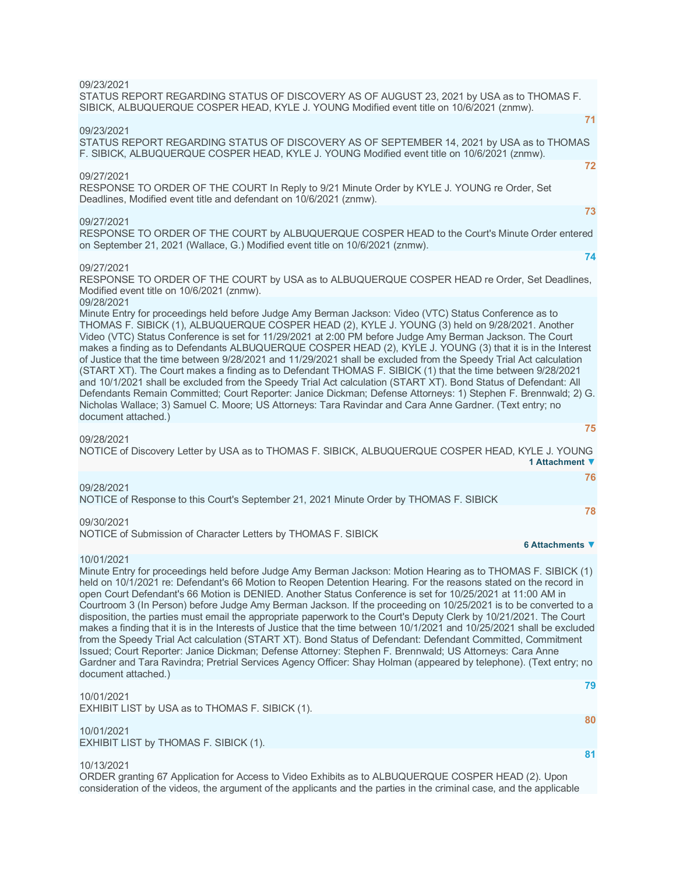| 09/23/2021<br>STATUS REPORT REGARDING STATUS OF DISCOVERY AS OF AUGUST 23, 2021 by USA as to THOMAS F.<br>SIBICK, ALBUQUERQUE COSPER HEAD, KYLE J. YOUNG Modified event title on 10/6/2021 (znmw).                                                                                                                                                                                                                                                                                                                                                                                                                                                                                                                                                                                                                                                                                                                                                                                                                                                                                        |    |
|-------------------------------------------------------------------------------------------------------------------------------------------------------------------------------------------------------------------------------------------------------------------------------------------------------------------------------------------------------------------------------------------------------------------------------------------------------------------------------------------------------------------------------------------------------------------------------------------------------------------------------------------------------------------------------------------------------------------------------------------------------------------------------------------------------------------------------------------------------------------------------------------------------------------------------------------------------------------------------------------------------------------------------------------------------------------------------------------|----|
|                                                                                                                                                                                                                                                                                                                                                                                                                                                                                                                                                                                                                                                                                                                                                                                                                                                                                                                                                                                                                                                                                           | 71 |
| 09/23/2021<br>STATUS REPORT REGARDING STATUS OF DISCOVERY AS OF SEPTEMBER 14, 2021 by USA as to THOMAS<br>F. SIBICK, ALBUQUERQUE COSPER HEAD, KYLE J. YOUNG Modified event title on 10/6/2021 (znmw).                                                                                                                                                                                                                                                                                                                                                                                                                                                                                                                                                                                                                                                                                                                                                                                                                                                                                     |    |
|                                                                                                                                                                                                                                                                                                                                                                                                                                                                                                                                                                                                                                                                                                                                                                                                                                                                                                                                                                                                                                                                                           | 72 |
| 09/27/2021<br>RESPONSE TO ORDER OF THE COURT In Reply to 9/21 Minute Order by KYLE J. YOUNG re Order, Set<br>Deadlines, Modified event title and defendant on 10/6/2021 (znmw).                                                                                                                                                                                                                                                                                                                                                                                                                                                                                                                                                                                                                                                                                                                                                                                                                                                                                                           |    |
|                                                                                                                                                                                                                                                                                                                                                                                                                                                                                                                                                                                                                                                                                                                                                                                                                                                                                                                                                                                                                                                                                           | 73 |
| 09/27/2021<br>RESPONSE TO ORDER OF THE COURT by ALBUQUERQUE COSPER HEAD to the Court's Minute Order entered<br>on September 21, 2021 (Wallace, G.) Modified event title on 10/6/2021 (znmw).                                                                                                                                                                                                                                                                                                                                                                                                                                                                                                                                                                                                                                                                                                                                                                                                                                                                                              |    |
|                                                                                                                                                                                                                                                                                                                                                                                                                                                                                                                                                                                                                                                                                                                                                                                                                                                                                                                                                                                                                                                                                           | 74 |
| 09/27/2021<br>RESPONSE TO ORDER OF THE COURT by USA as to ALBUQUERQUE COSPER HEAD re Order, Set Deadlines,<br>Modified event title on 10/6/2021 (znmw).                                                                                                                                                                                                                                                                                                                                                                                                                                                                                                                                                                                                                                                                                                                                                                                                                                                                                                                                   |    |
| 09/28/2021<br>Minute Entry for proceedings held before Judge Amy Berman Jackson: Video (VTC) Status Conference as to<br>THOMAS F. SIBICK (1), ALBUQUERQUE COSPER HEAD (2), KYLE J. YOUNG (3) held on 9/28/2021. Another<br>Video (VTC) Status Conference is set for 11/29/2021 at 2:00 PM before Judge Amy Berman Jackson. The Court<br>makes a finding as to Defendants ALBUQUERQUE COSPER HEAD (2), KYLE J. YOUNG (3) that it is in the Interest<br>of Justice that the time between 9/28/2021 and 11/29/2021 shall be excluded from the Speedy Trial Act calculation<br>(START XT). The Court makes a finding as to Defendant THOMAS F. SIBICK (1) that the time between 9/28/2021<br>and 10/1/2021 shall be excluded from the Speedy Trial Act calculation (START XT). Bond Status of Defendant: All<br>Defendants Remain Committed; Court Reporter: Janice Dickman; Defense Attorneys: 1) Stephen F. Brennwald; 2) G.<br>Nicholas Wallace; 3) Samuel C. Moore; US Attorneys: Tara Ravindar and Cara Anne Gardner. (Text entry; no<br>document attached.)                             |    |
|                                                                                                                                                                                                                                                                                                                                                                                                                                                                                                                                                                                                                                                                                                                                                                                                                                                                                                                                                                                                                                                                                           | 75 |
| 09/28/2021<br>NOTICE of Discovery Letter by USA as to THOMAS F. SIBICK, ALBUQUERQUE COSPER HEAD, KYLE J. YOUNG<br>1 Attachment ▼                                                                                                                                                                                                                                                                                                                                                                                                                                                                                                                                                                                                                                                                                                                                                                                                                                                                                                                                                          |    |
|                                                                                                                                                                                                                                                                                                                                                                                                                                                                                                                                                                                                                                                                                                                                                                                                                                                                                                                                                                                                                                                                                           | 76 |
| 09/28/2021<br>NOTICE of Response to this Court's September 21, 2021 Minute Order by THOMAS F. SIBICK                                                                                                                                                                                                                                                                                                                                                                                                                                                                                                                                                                                                                                                                                                                                                                                                                                                                                                                                                                                      |    |
|                                                                                                                                                                                                                                                                                                                                                                                                                                                                                                                                                                                                                                                                                                                                                                                                                                                                                                                                                                                                                                                                                           | 78 |
| 09/30/2021                                                                                                                                                                                                                                                                                                                                                                                                                                                                                                                                                                                                                                                                                                                                                                                                                                                                                                                                                                                                                                                                                |    |
| NOTICE of Submission of Character Letters by THOMAS F. SIBICK<br>6 Attachments ▼                                                                                                                                                                                                                                                                                                                                                                                                                                                                                                                                                                                                                                                                                                                                                                                                                                                                                                                                                                                                          |    |
| 10/01/2021                                                                                                                                                                                                                                                                                                                                                                                                                                                                                                                                                                                                                                                                                                                                                                                                                                                                                                                                                                                                                                                                                |    |
| Minute Entry for proceedings held before Judge Amy Berman Jackson: Motion Hearing as to THOMAS F. SIBICK (1)<br>held on 10/1/2021 re: Defendant's 66 Motion to Reopen Detention Hearing. For the reasons stated on the record in<br>open Court Defendant's 66 Motion is DENIED. Another Status Conference is set for 10/25/2021 at 11:00 AM in<br>Courtroom 3 (In Person) before Judge Amy Berman Jackson. If the proceeding on 10/25/2021 is to be converted to a<br>disposition, the parties must email the appropriate paperwork to the Court's Deputy Clerk by 10/21/2021. The Court<br>makes a finding that it is in the Interests of Justice that the time between 10/1/2021 and 10/25/2021 shall be excluded<br>from the Speedy Trial Act calculation (START XT). Bond Status of Defendant: Defendant Committed, Commitment<br>Issued; Court Reporter: Janice Dickman; Defense Attorney: Stephen F. Brennwald; US Attorneys: Cara Anne<br>Gardner and Tara Ravindra; Pretrial Services Agency Officer: Shay Holman (appeared by telephone). (Text entry; no<br>document attached.) |    |
| 10/01/2021                                                                                                                                                                                                                                                                                                                                                                                                                                                                                                                                                                                                                                                                                                                                                                                                                                                                                                                                                                                                                                                                                | 79 |
| EXHIBIT LIST by USA as to THOMAS F. SIBICK (1).                                                                                                                                                                                                                                                                                                                                                                                                                                                                                                                                                                                                                                                                                                                                                                                                                                                                                                                                                                                                                                           |    |
| 10/01/2021                                                                                                                                                                                                                                                                                                                                                                                                                                                                                                                                                                                                                                                                                                                                                                                                                                                                                                                                                                                                                                                                                | 80 |
| EXHIBIT LIST by THOMAS F. SIBICK (1).                                                                                                                                                                                                                                                                                                                                                                                                                                                                                                                                                                                                                                                                                                                                                                                                                                                                                                                                                                                                                                                     |    |
|                                                                                                                                                                                                                                                                                                                                                                                                                                                                                                                                                                                                                                                                                                                                                                                                                                                                                                                                                                                                                                                                                           | 81 |
| 10/13/2021<br>ORDER grapting 67 Application for Access to Video Exhibits as to ALBHOUEROUE COSPER HEAD (2) Hoop                                                                                                                                                                                                                                                                                                                                                                                                                                                                                                                                                                                                                                                                                                                                                                                                                                                                                                                                                                           |    |

ORDER granting 67 Application for Access to Video Exhibits as to ALBUQUERQUE COSPER HEAD (2). Upon consideration of the videos, the argument of the applicants and the parties in the criminal case, and the applicable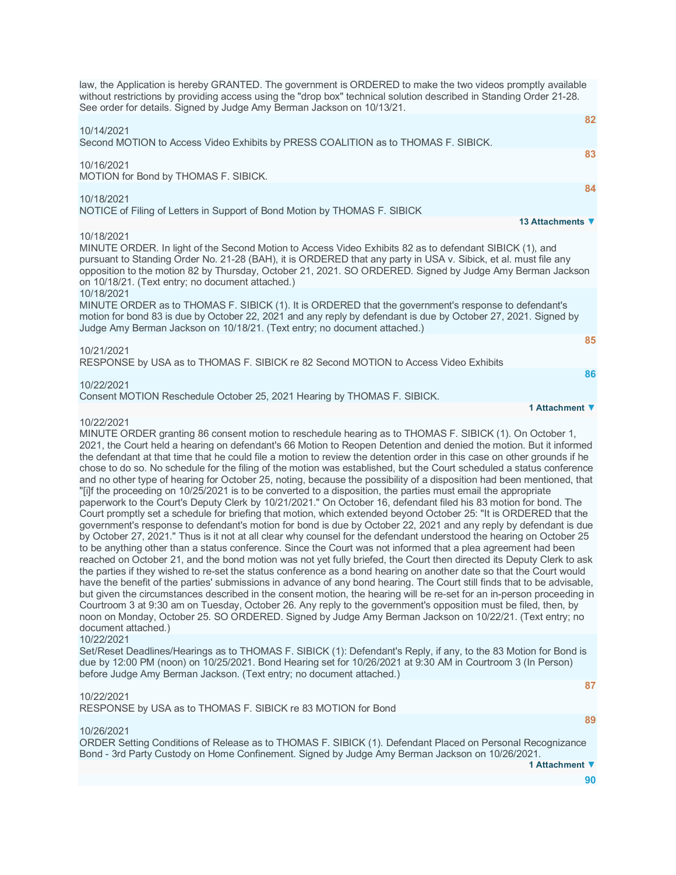| law, the Application is hereby GRANTED. The government is ORDERED to make the two videos promptly available<br>without restrictions by providing access using the "drop box" technical solution described in Standing Order 21-28.<br>See order for details. Signed by Judge Amy Berman Jackson on 10/13/21.                                                                                              |
|-----------------------------------------------------------------------------------------------------------------------------------------------------------------------------------------------------------------------------------------------------------------------------------------------------------------------------------------------------------------------------------------------------------|
| 82                                                                                                                                                                                                                                                                                                                                                                                                        |
| 10/14/2021<br>Second MOTION to Access Video Exhibits by PRESS COALITION as to THOMAS F. SIBICK.                                                                                                                                                                                                                                                                                                           |
| 83<br>10/16/2021<br>MOTION for Bond by THOMAS F. SIBICK.                                                                                                                                                                                                                                                                                                                                                  |
| 84                                                                                                                                                                                                                                                                                                                                                                                                        |
| 10/18/2021<br>NOTICE of Filing of Letters in Support of Bond Motion by THOMAS F. SIBICK                                                                                                                                                                                                                                                                                                                   |
| 13 Attachments ▼                                                                                                                                                                                                                                                                                                                                                                                          |
| 10/18/2021<br>MINUTE ORDER. In light of the Second Motion to Access Video Exhibits 82 as to defendant SIBICK (1), and<br>pursuant to Standing Order No. 21-28 (BAH), it is ORDERED that any party in USA v. Sibick, et al. must file any<br>opposition to the motion 82 by Thursday, October 21, 2021. SO ORDERED. Signed by Judge Amy Berman Jackson<br>on 10/18/21. (Text entry; no document attached.) |
| 10/18/2021<br>MINUTE ORDER as to THOMAS F. SIBICK (1). It is ORDERED that the government's response to defendant's<br>motion for bond 83 is due by October 22, 2021 and any reply by defendant is due by October 27, 2021. Signed by<br>Judge Amy Berman Jackson on 10/18/21. (Text entry; no document attached.)                                                                                         |
| 85                                                                                                                                                                                                                                                                                                                                                                                                        |
| 10/21/2021<br>RESPONSE by USA as to THOMAS F. SIBICK re 82 Second MOTION to Access Video Exhibits                                                                                                                                                                                                                                                                                                         |
| 86                                                                                                                                                                                                                                                                                                                                                                                                        |
| 10/22/2021<br>Consent MOTION Reschedule October 25, 2021 Hearing by THOMAS F. SIBICK.                                                                                                                                                                                                                                                                                                                     |
| 1 Attachment ▼                                                                                                                                                                                                                                                                                                                                                                                            |
| 10/22/2021                                                                                                                                                                                                                                                                                                                                                                                                |
| MINUTE ORDER granting 86 consent motion to reschedule hearing as to THOMAS F. SIBICK (1). On October 1,<br>2021 the Court held a bearing on defendant's 66 Motion to Reopen Detention and denied the motion. But it informed                                                                                                                                                                              |

irt held a hearing on defendant's 66 Motion to Reopen Detention and denied the motion the defendant at that time that he could file a motion to review the detention order in this case on other grounds if he chose to do so. No schedule for the filing of the motion was established, but the Court scheduled a status conference and no other type of hearing for October 25, noting, because the possibility of a disposition had been mentioned, that "[i]f the proceeding on 10/25/2021 is to be converted to a disposition, the parties must email the appropriate paperwork to the Court's Deputy Clerk by 10/21/2021." On October 16, defendant filed his 83 motion for bond. The Court promptly set a schedule for briefing that motion, which extended beyond October 25: "It is ORDERED that the government's response to defendant's motion for bond is due by October 22, 2021 and any reply by defendant is due by October 27, 2021." Thus is it not at all clear why counsel for the defendant understood the hearing on October 25 to be anything other than a status conference. Since the Court was not informed that a plea agreement had been reached on October 21, and the bond motion was not yet fully briefed, the Court then directed its Deputy Clerk to ask the parties if they wished to re-set the status conference as a bond hearing on another date so that the Court would have the benefit of the parties' submissions in advance of any bond hearing. The Court still finds that to be advisable, but given the circumstances described in the consent motion, the hearing will be re-set for an in-person proceeding in Courtroom 3 at 9:30 am on Tuesday, October 26. Any reply to the government's opposition must be filed, then, by noon on Monday, October 25. SO ORDERED. Signed by Judge Amy Berman Jackson on 10/22/21. (Text entry; no document attached.)

10/22/2021

Set/Reset Deadlines/Hearings as to THOMAS F. SIBICK (1): Defendant's Reply, if any, to the 83 Motion for Bond is due by 12:00 PM (noon) on 10/25/2021. Bond Hearing set for 10/26/2021 at 9:30 AM in Courtroom 3 (In Person) before Judge Amy Berman Jackson. (Text entry; no document attached.)

# 10/22/2021

RESPONSE by USA as to THOMAS F. SIBICK re 83 MOTION for Bond

**[87](javascript:void(0)) [89](javascript:void(0))**

# 10/26/2021

ORDER Setting Conditions of Release as to THOMAS F. SIBICK (1). Defendant Placed on Personal Recognizance Bond - 3rd Party Custody on Home Confinement. Signed by Judge Amy Berman Jackson on 10/26/2021.

**1 Attachment ▼**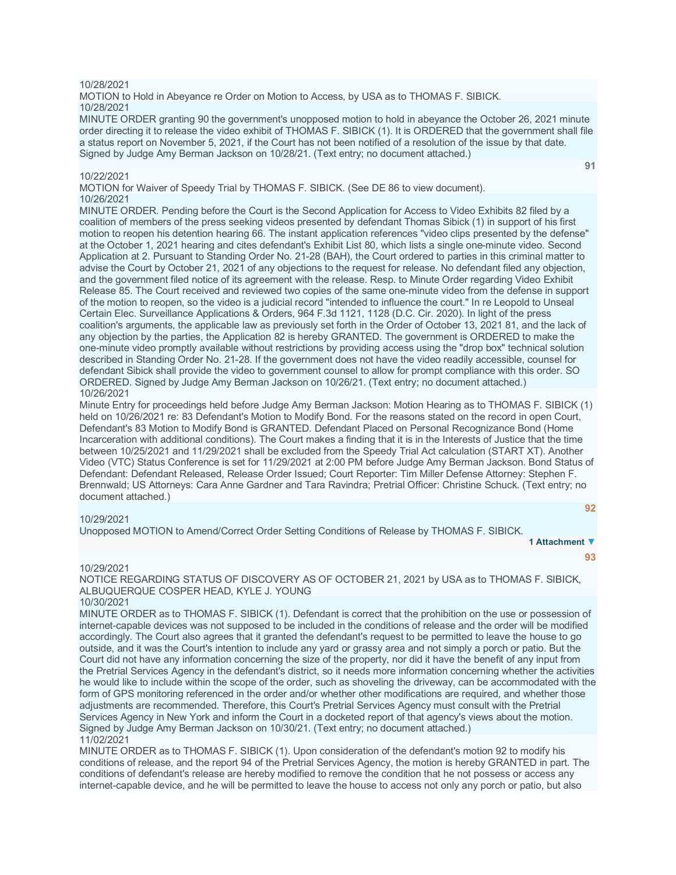#### 10/28/2021

MOTION to Hold in Abeyance re Order on Motion to Access, by USA as to THOMAS F. SIBICK. 10/28/2021

MINUTE ORDER granting 90 the government's unopposed motion to hold in abeyance the October 26, 2021 minute order directing it to release the video exhibit of THOMAS F. SIBICK (1). It is ORDERED that the government shall file a status report on November 5, 2021, if the Court has not been notified of a resolution of the issue by that date. Signed by Judge Amy Berman Jackson on 10/28/21. (Text entry; no document attached.)

**[91](javascript:void(0))**

**[92](javascript:void(0))**

**[93](javascript:void(0))**

**1 Attachment ▼**

#### 10/22/2021

MOTION for Waiver of Speedy Trial by THOMAS F. SIBICK. (See DE 86 to view document). 10/26/2021

MINUTE ORDER. Pending before the Court is the Second Application for Access to Video Exhibits 82 filed by a coalition of members of the press seeking videos presented by defendant Thomas Sibick (1) in support of his first motion to reopen his detention hearing 66. The instant application references "video clips presented by the defense" at the October 1, 2021 hearing and cites defendant's Exhibit List 80, which lists a single one-minute video. Second Application at 2. Pursuant to Standing Order No. 21-28 (BAH), the Court ordered to parties in this criminal matter to advise the Court by October 21, 2021 of any objections to the request for release. No defendant filed any objection, and the government filed notice of its agreement with the release. Resp. to Minute Order regarding Video Exhibit Release 85. The Court received and reviewed two copies of the same one-minute video from the defense in support of the motion to reopen, so the video is a judicial record "intended to influence the court." In re Leopold to Unseal Certain Elec. Surveillance Applications & Orders, 964 F.3d 1121, 1128 (D.C. Cir. 2020). In light of the press coalition's arguments, the applicable law as previously set forth in the Order of October 13, 2021 81, and the lack of any objection by the parties, the Application 82 is hereby GRANTED. The government is ORDERED to make the one-minute video promptly available without restrictions by providing access using the "drop box" technical solution described in Standing Order No. 21-28. If the government does not have the video readily accessible, counsel for defendant Sibick shall provide the video to government counsel to allow for prompt compliance with this order. SO ORDERED. Signed by Judge Amy Berman Jackson on 10/26/21. (Text entry; no document attached.) 10/26/2021

Minute Entry for proceedings held before Judge Amy Berman Jackson: Motion Hearing as to THOMAS F. SIBICK (1) held on 10/26/2021 re: 83 Defendant's Motion to Modify Bond. For the reasons stated on the record in open Court, Defendant's 83 Motion to Modify Bond is GRANTED. Defendant Placed on Personal Recognizance Bond (Home Incarceration with additional conditions). The Court makes a finding that it is in the Interests of Justice that the time between 10/25/2021 and 11/29/2021 shall be excluded from the Speedy Trial Act calculation (START XT). Another Video (VTC) Status Conference is set for 11/29/2021 at 2:00 PM before Judge Amy Berman Jackson. Bond Status of Defendant: Defendant Released, Release Order Issued; Court Reporter: Tim Miller Defense Attorney: Stephen F. Brennwald; US Attorneys: Cara Anne Gardner and Tara Ravindra; Pretrial Officer: Christine Schuck. (Text entry; no document attached.)

#### 10/29/2021

Unopposed MOTION to Amend/Correct Order Setting Conditions of Release by THOMAS F. SIBICK.

#### 10/29/2021

NOTICE REGARDING STATUS OF DISCOVERY AS OF OCTOBER 21, 2021 by USA as to THOMAS F. SIBICK, ALBUQUERQUE COSPER HEAD, KYLE J. YOUNG

# 10/30/2021

MINUTE ORDER as to THOMAS F. SIBICK (1). Defendant is correct that the prohibition on the use or possession of internet-capable devices was not supposed to be included in the conditions of release and the order will be modified accordingly. The Court also agrees that it granted the defendant's request to be permitted to leave the house to go outside, and it was the Court's intention to include any yard or grassy area and not simply a porch or patio. But the Court did not have any information concerning the size of the property, nor did it have the benefit of any input from the Pretrial Services Agency in the defendant's district, so it needs more information concerning whether the activities he would like to include within the scope of the order, such as shoveling the driveway, can be accommodated with the form of GPS monitoring referenced in the order and/or whether other modifications are required, and whether those adjustments are recommended. Therefore, this Court's Pretrial Services Agency must consult with the Pretrial Services Agency in New York and inform the Court in a docketed report of that agency's views about the motion. Signed by Judge Amy Berman Jackson on 10/30/21. (Text entry; no document attached.) 11/02/2021

MINUTE ORDER as to THOMAS F. SIBICK (1). Upon consideration of the defendant's motion 92 to modify his conditions of release, and the report 94 of the Pretrial Services Agency, the motion is hereby GRANTED in part. The conditions of defendant's release are hereby modified to remove the condition that he not possess or access any internet-capable device, and he will be permitted to leave the house to access not only any porch or patio, but also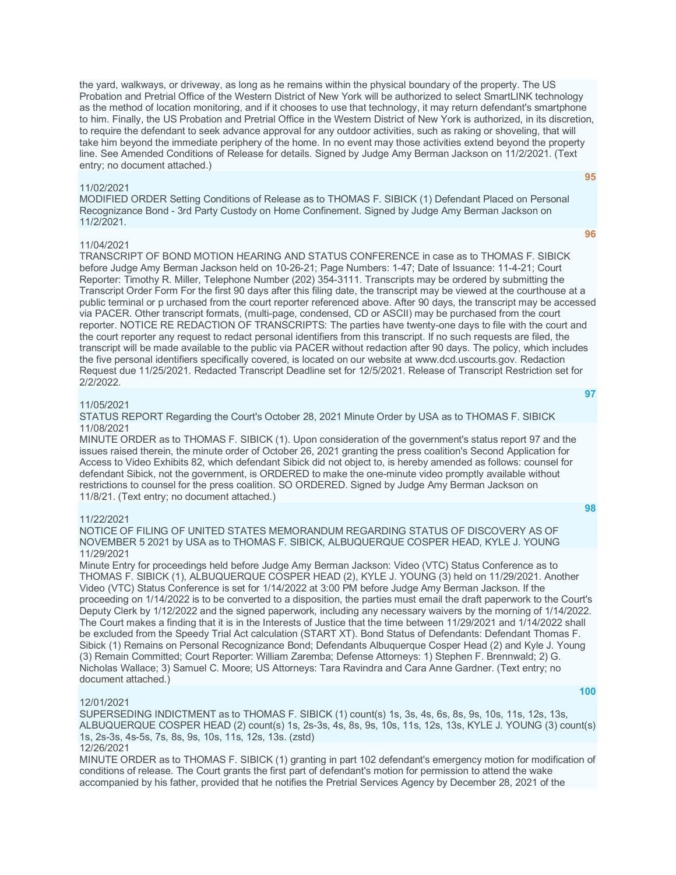the yard, walkways, or driveway, as long as he remains within the physical boundary of the property. The US Probation and Pretrial Office of the Western District of New York will be authorized to select SmartLINK technology as the method of location monitoring, and if it chooses to use that technology, it may return defendant's smartphone to him. Finally, the US Probation and Pretrial Office in the Western District of New York is authorized, in its discretion, to require the defendant to seek advance approval for any outdoor activities, such as raking or shoveling, that will take him beyond the immediate periphery of the home. In no event may those activities extend beyond the property line. See Amended Conditions of Release for details. Signed by Judge Amy Berman Jackson on 11/2/2021. (Text entry; no document attached.)

#### 11/02/2021

MODIFIED ORDER Setting Conditions of Release as to THOMAS F. SIBICK (1) Defendant Placed on Personal Recognizance Bond - 3rd Party Custody on Home Confinement. Signed by Judge Amy Berman Jackson on 11/2/2021.

#### 11/04/2021

**[96](javascript:void(0))**

**[95](javascript:void(0))**

TRANSCRIPT OF BOND MOTION HEARING AND STATUS CONFERENCE in case as to THOMAS F. SIBICK before Judge Amy Berman Jackson held on 10-26-21; Page Numbers: 1-47; Date of Issuance: 11-4-21; Court Reporter: Timothy R. Miller, Telephone Number (202) 354-3111. Transcripts may be ordered by submitting the Transcript Order Form For the first 90 days after this filing date, the transcript may be viewed at the courthouse at a public terminal or p urchased from the court reporter referenced above. After 90 days, the transcript may be accessed via PACER. Other transcript formats, (multi-page, condensed, CD or ASCII) may be purchased from the court reporter. NOTICE RE REDACTION OF TRANSCRIPTS: The parties have twenty-one days to file with the court and the court reporter any request to redact personal identifiers from this transcript. If no such requests are filed, the transcript will be made available to the public via PACER without redaction after 90 days. The policy, which includes the five personal identifiers specifically covered, is located on our website at www.dcd.uscourts.gov. Redaction Request due 11/25/2021. Redacted Transcript Deadline set for 12/5/2021. Release of Transcript Restriction set for 2/2/2022.

# 11/05/2021

STATUS REPORT Regarding the Court's October 28, 2021 Minute Order by USA as to THOMAS F. SIBICK 11/08/2021

MINUTE ORDER as to THOMAS F. SIBICK (1). Upon consideration of the government's status report 97 and the issues raised therein, the minute order of October 26, 2021 granting the press coalition's Second Application for Access to Video Exhibits 82, which defendant Sibick did not object to, is hereby amended as follows: counsel for defendant Sibick, not the government, is ORDERED to make the one-minute video promptly available without restrictions to counsel for the press coalition. SO ORDERED. Signed by Judge Amy Berman Jackson on 11/8/21. (Text entry; no document attached.)

#### 11/22/2021

NOTICE OF FILING OF UNITED STATES MEMORANDUM REGARDING STATUS OF DISCOVERY AS OF NOVEMBER 5 2021 by USA as to THOMAS F. SIBICK, ALBUQUERQUE COSPER HEAD, KYLE J. YOUNG 11/29/2021

Minute Entry for proceedings held before Judge Amy Berman Jackson: Video (VTC) Status Conference as to THOMAS F. SIBICK (1), ALBUQUERQUE COSPER HEAD (2), KYLE J. YOUNG (3) held on 11/29/2021. Another Video (VTC) Status Conference is set for 1/14/2022 at 3:00 PM before Judge Amy Berman Jackson. If the proceeding on 1/14/2022 is to be converted to a disposition, the parties must email the draft paperwork to the Court's Deputy Clerk by 1/12/2022 and the signed paperwork, including any necessary waivers by the morning of 1/14/2022. The Court makes a finding that it is in the Interests of Justice that the time between 11/29/2021 and 1/14/2022 shall be excluded from the Speedy Trial Act calculation (START XT). Bond Status of Defendants: Defendant Thomas F. Sibick (1) Remains on Personal Recognizance Bond; Defendants Albuquerque Cosper Head (2) and Kyle J. Young (3) Remain Committed; Court Reporter: William Zaremba; Defense Attorneys: 1) Stephen F. Brennwald; 2) G. Nicholas Wallace; 3) Samuel C. Moore; US Attorneys: Tara Ravindra and Cara Anne Gardner. (Text entry; no document attached.)

#### 12/01/2021

SUPERSEDING INDICTMENT as to THOMAS F. SIBICK (1) count(s) 1s, 3s, 4s, 6s, 8s, 9s, 10s, 11s, 12s, 13s, ALBUQUERQUE COSPER HEAD (2) count(s) 1s, 2s-3s, 4s, 8s, 9s, 10s, 11s, 12s, 13s, KYLE J. YOUNG (3) count(s) 1s, 2s-3s, 4s-5s, 7s, 8s, 9s, 10s, 11s, 12s, 13s. (zstd)

12/26/2021

MINUTE ORDER as to THOMAS F. SIBICK (1) granting in part 102 defendant's emergency motion for modification of conditions of release. The Court grants the first part of defendant's motion for permission to attend the wake accompanied by his father, provided that he notifies the Pretrial Services Agency by December 28, 2021 of the

**[98](javascript:void(0))**

**[100](javascript:void(0))**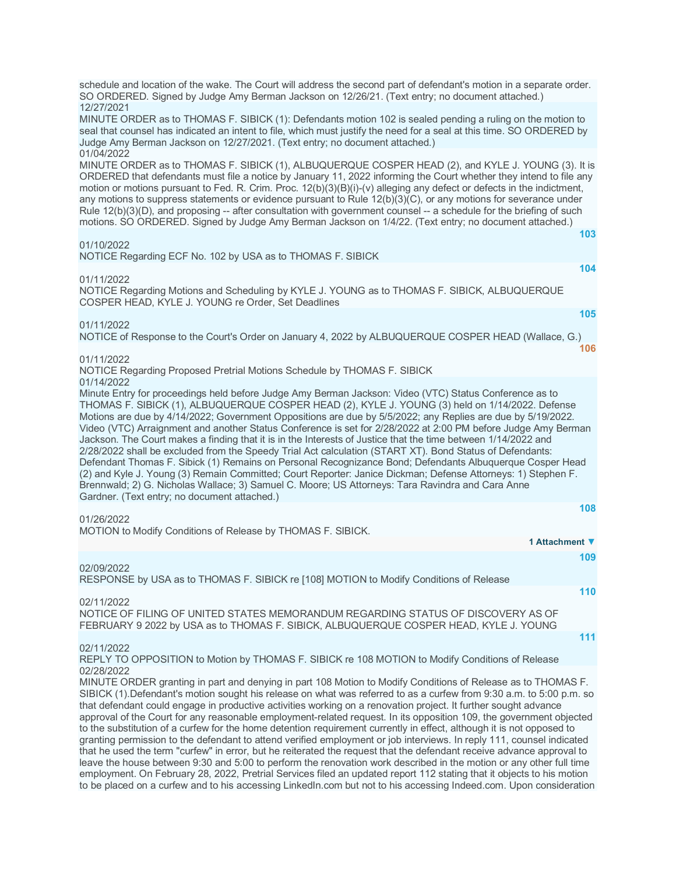| schedule and location of the wake. The Court will address the second part of defendant's motion in a separate order.<br>SO ORDERED. Signed by Judge Amy Berman Jackson on 12/26/21. (Text entry; no document attached.)                                                                                                                                                                                                                                                                                                                                                                                                                                                                                                                                                                                                                                                                                                                                                                                                                                              |     |
|----------------------------------------------------------------------------------------------------------------------------------------------------------------------------------------------------------------------------------------------------------------------------------------------------------------------------------------------------------------------------------------------------------------------------------------------------------------------------------------------------------------------------------------------------------------------------------------------------------------------------------------------------------------------------------------------------------------------------------------------------------------------------------------------------------------------------------------------------------------------------------------------------------------------------------------------------------------------------------------------------------------------------------------------------------------------|-----|
| 12/27/2021<br>MINUTE ORDER as to THOMAS F. SIBICK (1): Defendants motion 102 is sealed pending a ruling on the motion to<br>seal that counsel has indicated an intent to file, which must justify the need for a seal at this time. SO ORDERED by<br>Judge Amy Berman Jackson on 12/27/2021. (Text entry; no document attached.)                                                                                                                                                                                                                                                                                                                                                                                                                                                                                                                                                                                                                                                                                                                                     |     |
| 01/04/2022<br>MINUTE ORDER as to THOMAS F. SIBICK (1), ALBUQUERQUE COSPER HEAD (2), and KYLE J. YOUNG (3). It is<br>ORDERED that defendants must file a notice by January 11, 2022 informing the Court whether they intend to file any<br>motion or motions pursuant to Fed. R. Crim. Proc. 12(b)(3)(B)(i)-(v) alleging any defect or defects in the indictment,<br>any motions to suppress statements or evidence pursuant to Rule 12(b)(3)(C), or any motions for severance under<br>Rule 12(b)(3)(D), and proposing -- after consultation with government counsel -- a schedule for the briefing of such<br>motions. SO ORDERED. Signed by Judge Amy Berman Jackson on 1/4/22. (Text entry; no document attached.)                                                                                                                                                                                                                                                                                                                                                |     |
| 01/10/2022                                                                                                                                                                                                                                                                                                                                                                                                                                                                                                                                                                                                                                                                                                                                                                                                                                                                                                                                                                                                                                                           | 103 |
| NOTICE Regarding ECF No. 102 by USA as to THOMAS F. SIBICK                                                                                                                                                                                                                                                                                                                                                                                                                                                                                                                                                                                                                                                                                                                                                                                                                                                                                                                                                                                                           |     |
| 01/11/2022<br>NOTICE Regarding Motions and Scheduling by KYLE J. YOUNG as to THOMAS F. SIBICK, ALBUQUERQUE<br>COSPER HEAD, KYLE J. YOUNG re Order, Set Deadlines                                                                                                                                                                                                                                                                                                                                                                                                                                                                                                                                                                                                                                                                                                                                                                                                                                                                                                     | 104 |
| 01/11/2022                                                                                                                                                                                                                                                                                                                                                                                                                                                                                                                                                                                                                                                                                                                                                                                                                                                                                                                                                                                                                                                           | 105 |
| NOTICE of Response to the Court's Order on January 4, 2022 by ALBUQUERQUE COSPER HEAD (Wallace, G.)                                                                                                                                                                                                                                                                                                                                                                                                                                                                                                                                                                                                                                                                                                                                                                                                                                                                                                                                                                  | 106 |
| 01/11/2022<br>NOTICE Regarding Proposed Pretrial Motions Schedule by THOMAS F. SIBICK                                                                                                                                                                                                                                                                                                                                                                                                                                                                                                                                                                                                                                                                                                                                                                                                                                                                                                                                                                                |     |
| 01/14/2022<br>Minute Entry for proceedings held before Judge Amy Berman Jackson: Video (VTC) Status Conference as to<br>THOMAS F. SIBICK (1), ALBUQUERQUE COSPER HEAD (2), KYLE J. YOUNG (3) held on 1/14/2022. Defense<br>Motions are due by 4/14/2022; Government Oppositions are due by 5/5/2022; any Replies are due by 5/19/2022.<br>Video (VTC) Arraignment and another Status Conference is set for 2/28/2022 at 2:00 PM before Judge Amy Berman<br>Jackson. The Court makes a finding that it is in the Interests of Justice that the time between 1/14/2022 and<br>2/28/2022 shall be excluded from the Speedy Trial Act calculation (START XT). Bond Status of Defendants:<br>Defendant Thomas F. Sibick (1) Remains on Personal Recognizance Bond; Defendants Albuquerque Cosper Head<br>(2) and Kyle J. Young (3) Remain Committed; Court Reporter: Janice Dickman; Defense Attorneys: 1) Stephen F.<br>Brennwald; 2) G. Nicholas Wallace; 3) Samuel C. Moore; US Attorneys: Tara Ravindra and Cara Anne<br>Gardner. (Text entry; no document attached.) |     |
| 01/26/2022                                                                                                                                                                                                                                                                                                                                                                                                                                                                                                                                                                                                                                                                                                                                                                                                                                                                                                                                                                                                                                                           | 108 |
| MOTION to Modify Conditions of Release by THOMAS F. SIBICK.<br>1 Attachment ▼                                                                                                                                                                                                                                                                                                                                                                                                                                                                                                                                                                                                                                                                                                                                                                                                                                                                                                                                                                                        |     |
|                                                                                                                                                                                                                                                                                                                                                                                                                                                                                                                                                                                                                                                                                                                                                                                                                                                                                                                                                                                                                                                                      | 109 |
| 02/09/2022<br>RESPONSE by USA as to THOMAS F. SIBICK re [108] MOTION to Modify Conditions of Release                                                                                                                                                                                                                                                                                                                                                                                                                                                                                                                                                                                                                                                                                                                                                                                                                                                                                                                                                                 |     |
|                                                                                                                                                                                                                                                                                                                                                                                                                                                                                                                                                                                                                                                                                                                                                                                                                                                                                                                                                                                                                                                                      | 110 |
| 02/11/2022<br>NOTICE OF FILING OF UNITED STATES MEMORANDUM REGARDING STATUS OF DISCOVERY AS OF<br>FEBRUARY 9 2022 by USA as to THOMAS F. SIBICK, ALBUQUERQUE COSPER HEAD, KYLE J. YOUNG                                                                                                                                                                                                                                                                                                                                                                                                                                                                                                                                                                                                                                                                                                                                                                                                                                                                              |     |
| 02/11/2022                                                                                                                                                                                                                                                                                                                                                                                                                                                                                                                                                                                                                                                                                                                                                                                                                                                                                                                                                                                                                                                           | 111 |
| REPLY TO OPPOSITION to Motion by THOMAS F. SIBICK re 108 MOTION to Modify Conditions of Release                                                                                                                                                                                                                                                                                                                                                                                                                                                                                                                                                                                                                                                                                                                                                                                                                                                                                                                                                                      |     |
| 02/28/2022<br>MINUTE ORDER granting in part and denying in part 108 Motion to Modify Conditions of Release as to THOMAS F.<br>SIBICK (1).Defendant's motion sought his release on what was referred to as a curfew from 9:30 a.m. to 5:00 p.m. so<br>that defendant could engage in productive activities working on a renovation project. It further sought advance<br>approval of the Court for any reasonable employment-related request. In its opposition 109, the government objected<br>to the substitution of a curfew for the home detention requirement currently in effect, although it is not opposed to<br>granting permission to the defendant to attend verified employment or job interviews. In reply 111, counsel indicated<br>that he used the term "curfew" in error, but he reiterated the request that the defendant receive advance approval to<br>leave the house between 9:30 and 5:00 to perform the renovation work described in the motion or any other full time                                                                        |     |

employment. On February 28, 2022, Pretrial Services filed an updated report 112 stating that it objects to his motion to be placed on a curfew and to his accessing LinkedIn.com but not to his accessing Indeed.com. Upon consideration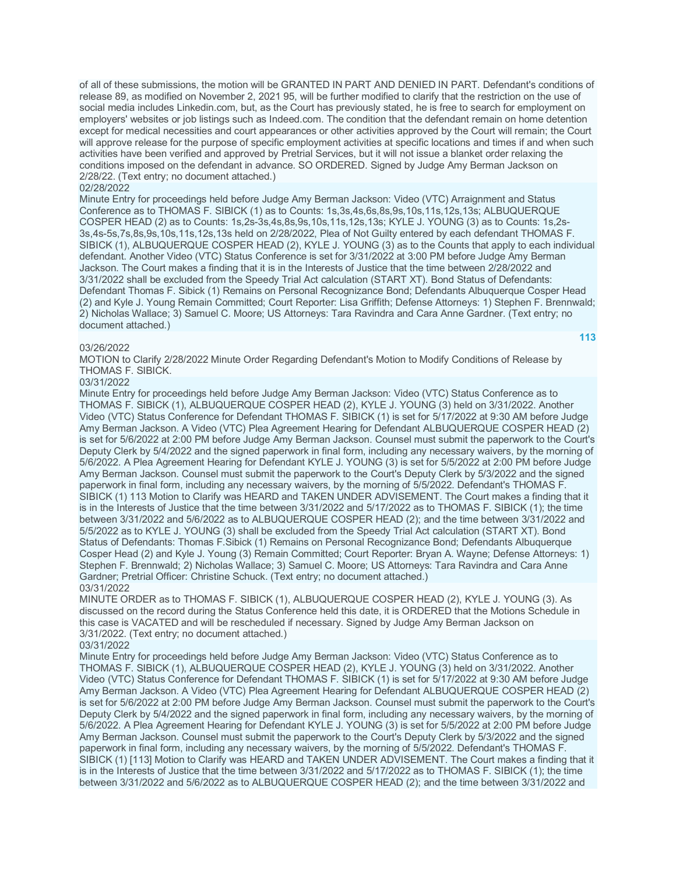of all of these submissions, the motion will be GRANTED IN PART AND DENIED IN PART. Defendant's conditions of release 89, as modified on November 2, 2021 95, will be further modified to clarify that the restriction on the use of social media includes Linkedin.com, but, as the Court has previously stated, he is free to search for employment on employers' websites or job listings such as Indeed.com. The condition that the defendant remain on home detention except for medical necessities and court appearances or other activities approved by the Court will remain; the Court will approve release for the purpose of specific employment activities at specific locations and times if and when such activities have been verified and approved by Pretrial Services, but it will not issue a blanket order relaxing the conditions imposed on the defendant in advance. SO ORDERED. Signed by Judge Amy Berman Jackson on 2/28/22. (Text entry; no document attached.)

#### 02/28/2022

Minute Entry for proceedings held before Judge Amy Berman Jackson: Video (VTC) Arraignment and Status Conference as to THOMAS F. SIBICK (1) as to Counts: 1s,3s,4s,6s,8s,9s,10s,11s,12s,13s; ALBUQUERQUE COSPER HEAD (2) as to Counts: 1s,2s-3s,4s,8s,9s,10s,11s,12s,13s; KYLE J. YOUNG (3) as to Counts: 1s,2s-3s,4s-5s,7s,8s,9s,10s,11s,12s,13s held on 2/28/2022, Plea of Not Guilty entered by each defendant THOMAS F. SIBICK (1), ALBUQUERQUE COSPER HEAD (2), KYLE J. YOUNG (3) as to the Counts that apply to each individual defendant. Another Video (VTC) Status Conference is set for 3/31/2022 at 3:00 PM before Judge Amy Berman Jackson. The Court makes a finding that it is in the Interests of Justice that the time between 2/28/2022 and 3/31/2022 shall be excluded from the Speedy Trial Act calculation (START XT). Bond Status of Defendants: Defendant Thomas F. Sibick (1) Remains on Personal Recognizance Bond; Defendants Albuquerque Cosper Head (2) and Kyle J. Young Remain Committed; Court Reporter: Lisa Griffith; Defense Attorneys: 1) Stephen F. Brennwald; 2) Nicholas Wallace; 3) Samuel C. Moore; US Attorneys: Tara Ravindra and Cara Anne Gardner. (Text entry; no document attached.)

#### 03/26/2022

MOTION to Clarify 2/28/2022 Minute Order Regarding Defendant's Motion to Modify Conditions of Release by THOMAS F. SIBICK.

#### 03/31/2022

Minute Entry for proceedings held before Judge Amy Berman Jackson: Video (VTC) Status Conference as to THOMAS F. SIBICK (1), ALBUQUERQUE COSPER HEAD (2), KYLE J. YOUNG (3) held on 3/31/2022. Another Video (VTC) Status Conference for Defendant THOMAS F. SIBICK (1) is set for 5/17/2022 at 9:30 AM before Judge Amy Berman Jackson. A Video (VTC) Plea Agreement Hearing for Defendant ALBUQUERQUE COSPER HEAD (2) is set for 5/6/2022 at 2:00 PM before Judge Amy Berman Jackson. Counsel must submit the paperwork to the Court's Deputy Clerk by 5/4/2022 and the signed paperwork in final form, including any necessary waivers, by the morning of 5/6/2022. A Plea Agreement Hearing for Defendant KYLE J. YOUNG (3) is set for 5/5/2022 at 2:00 PM before Judge Amy Berman Jackson. Counsel must submit the paperwork to the Court's Deputy Clerk by 5/3/2022 and the signed paperwork in final form, including any necessary waivers, by the morning of 5/5/2022. Defendant's THOMAS F. SIBICK (1) 113 Motion to Clarify was HEARD and TAKEN UNDER ADVISEMENT. The Court makes a finding that it is in the Interests of Justice that the time between 3/31/2022 and 5/17/2022 as to THOMAS F. SIBICK (1); the time between 3/31/2022 and 5/6/2022 as to ALBUQUERQUE COSPER HEAD (2); and the time between 3/31/2022 and 5/5/2022 as to KYLE J. YOUNG (3) shall be excluded from the Speedy Trial Act calculation (START XT). Bond Status of Defendants: Thomas F.Sibick (1) Remains on Personal Recognizance Bond; Defendants Albuquerque Cosper Head (2) and Kyle J. Young (3) Remain Committed; Court Reporter: Bryan A. Wayne; Defense Attorneys: 1) Stephen F. Brennwald; 2) Nicholas Wallace; 3) Samuel C. Moore; US Attorneys: Tara Ravindra and Cara Anne Gardner; Pretrial Officer: Christine Schuck. (Text entry; no document attached.) 03/31/2022

MINUTE ORDER as to THOMAS F. SIBICK (1), ALBUQUERQUE COSPER HEAD (2), KYLE J. YOUNG (3). As discussed on the record during the Status Conference held this date, it is ORDERED that the Motions Schedule in this case is VACATED and will be rescheduled if necessary. Signed by Judge Amy Berman Jackson on 3/31/2022. (Text entry; no document attached.)

# 03/31/2022

Minute Entry for proceedings held before Judge Amy Berman Jackson: Video (VTC) Status Conference as to THOMAS F. SIBICK (1), ALBUQUERQUE COSPER HEAD (2), KYLE J. YOUNG (3) held on 3/31/2022. Another Video (VTC) Status Conference for Defendant THOMAS F. SIBICK (1) is set for 5/17/2022 at 9:30 AM before Judge Amy Berman Jackson. A Video (VTC) Plea Agreement Hearing for Defendant ALBUQUERQUE COSPER HEAD (2) is set for 5/6/2022 at 2:00 PM before Judge Amy Berman Jackson. Counsel must submit the paperwork to the Court's Deputy Clerk by 5/4/2022 and the signed paperwork in final form, including any necessary waivers, by the morning of 5/6/2022. A Plea Agreement Hearing for Defendant KYLE J. YOUNG (3) is set for 5/5/2022 at 2:00 PM before Judge Amy Berman Jackson. Counsel must submit the paperwork to the Court's Deputy Clerk by 5/3/2022 and the signed paperwork in final form, including any necessary waivers, by the morning of 5/5/2022. Defendant's THOMAS F. SIBICK (1) [113] Motion to Clarify was HEARD and TAKEN UNDER ADVISEMENT. The Court makes a finding that it is in the Interests of Justice that the time between 3/31/2022 and 5/17/2022 as to THOMAS F. SIBICK (1); the time between 3/31/2022 and 5/6/2022 as to ALBUQUERQUE COSPER HEAD (2); and the time between 3/31/2022 and